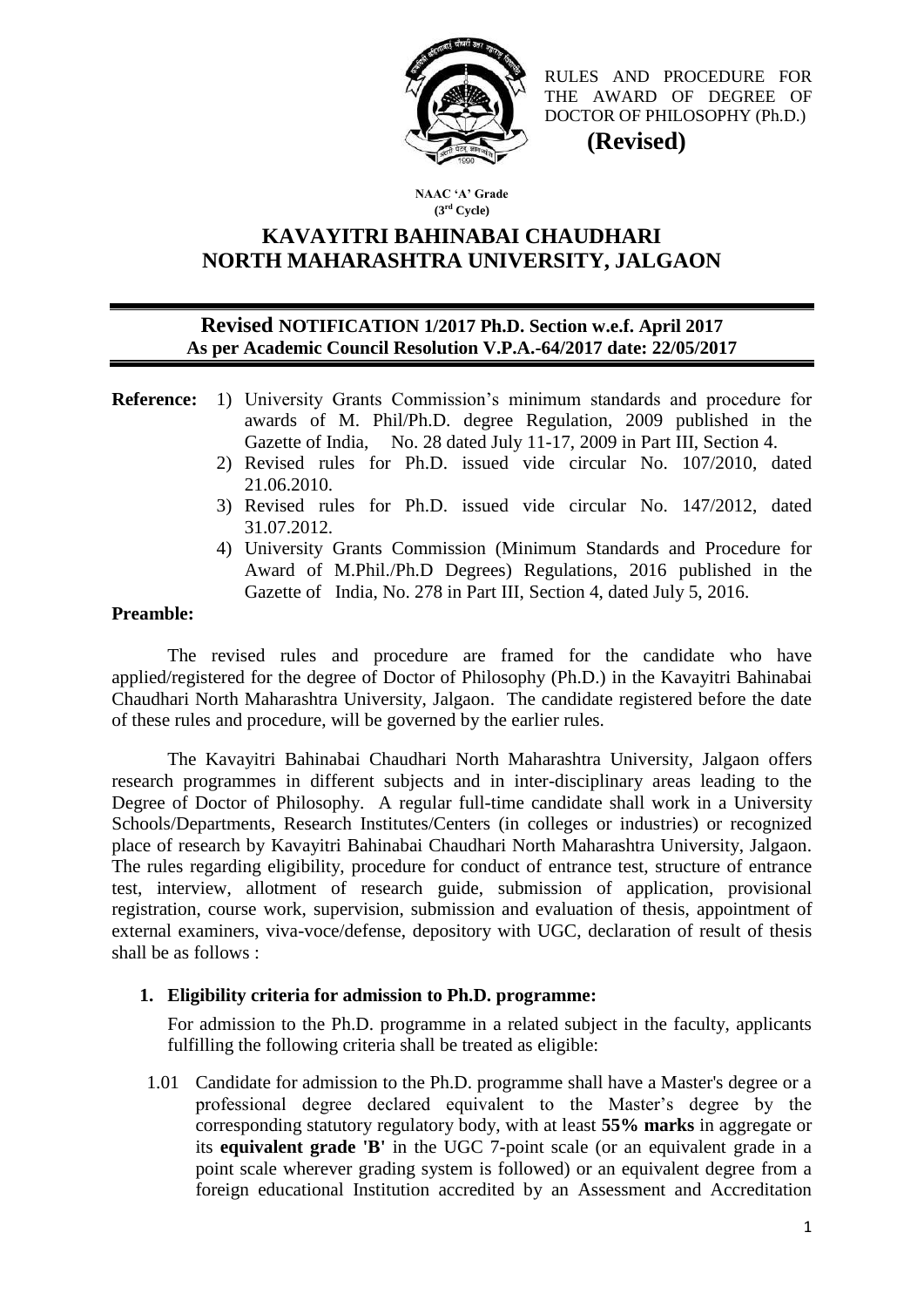

RULES AND PROCEDURE FOR THE AWARD OF DEGREE OF DOCTOR OF PHILOSOPHY (Ph.D.)  **(Revised)**

**NAAC 'A' Grade (3rd Cycle)**

### **KAVAYITRI BAHINABAI CHAUDHARI NORTH MAHARASHTRA UNIVERSITY, JALGAON**

#### **Revised NOTIFICATION 1/2017 Ph.D. Section w.e.f. April 2017 As per Academic Council Resolution V.P.A.-64/2017 date: 22/05/2017**

- **Reference:** 1) University Grants Commission's minimum standards and procedure for awards of M. Phil/Ph.D. degree Regulation, 2009 published in the Gazette of India, No. 28 dated July 11-17, 2009 in Part III, Section 4.
	- 2) Revised rules for Ph.D. issued vide circular No. 107/2010, dated 21.06.2010.
	- 3) Revised rules for Ph.D. issued vide circular No. 147/2012, dated 31.07.2012.
	- 4) University Grants Commission (Minimum Standards and Procedure for Award of M.Phil./Ph.D Degrees) Regulations, 2016 published in the Gazette of India, No. 278 in Part III, Section 4, dated July 5, 2016.

#### **Preamble:**

The revised rules and procedure are framed for the candidate who have applied/registered for the degree of Doctor of Philosophy (Ph.D.) in the Kavayitri Bahinabai Chaudhari North Maharashtra University, Jalgaon. The candidate registered before the date of these rules and procedure, will be governed by the earlier rules.

The Kavayitri Bahinabai Chaudhari North Maharashtra University, Jalgaon offers research programmes in different subjects and in inter-disciplinary areas leading to the Degree of Doctor of Philosophy. A regular full-time candidate shall work in a University Schools/Departments, Research Institutes/Centers (in colleges or industries) or recognized place of research by Kavayitri Bahinabai Chaudhari North Maharashtra University, Jalgaon. The rules regarding eligibility, procedure for conduct of entrance test, structure of entrance test, interview, allotment of research guide, submission of application, provisional registration, course work, supervision, submission and evaluation of thesis, appointment of external examiners, viva-voce/defense, depository with UGC, declaration of result of thesis shall be as follows :

#### **1. Eligibility criteria for admission to Ph.D. programme:**

For admission to the Ph.D. programme in a related subject in the faculty, applicants fulfilling the following criteria shall be treated as eligible:

1.01 Candidate for admission to the Ph.D. programme shall have a Master's degree or a professional degree declared equivalent to the Master's degree by the corresponding statutory regulatory body, with at least **55% marks** in aggregate or its **equivalent grade 'B'** in the UGC 7-point scale (or an equivalent grade in a point scale wherever grading system is followed) or an equivalent degree from a foreign educational Institution accredited by an Assessment and Accreditation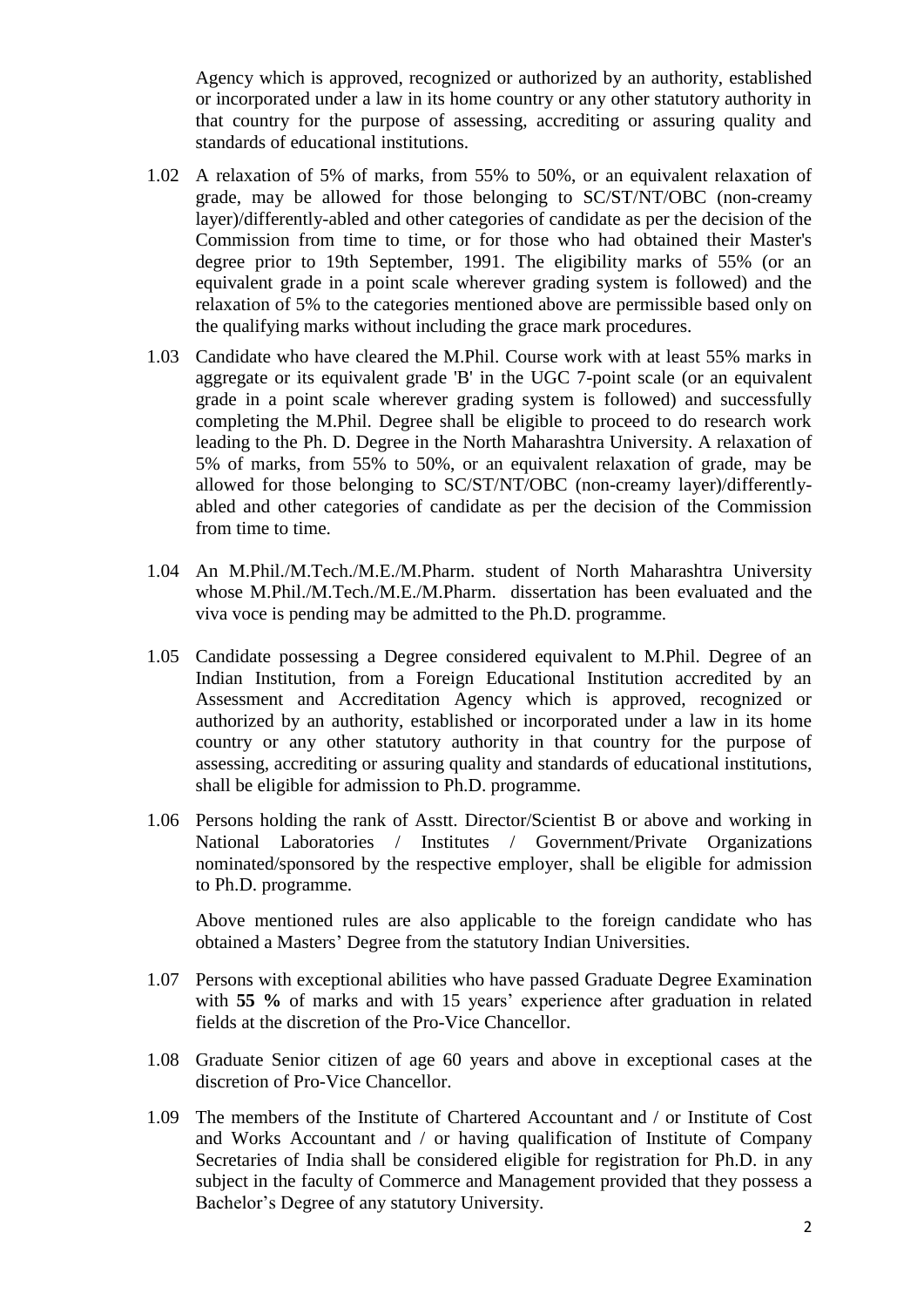Agency which is approved, recognized or authorized by an authority, established or incorporated under a law in its home country or any other statutory authority in that country for the purpose of assessing, accrediting or assuring quality and standards of educational institutions.

- 1.02 A relaxation of 5% of marks, from 55% to 50%, or an equivalent relaxation of grade, may be allowed for those belonging to SC/ST/NT/OBC (non-creamy layer)/differently-abled and other categories of candidate as per the decision of the Commission from time to time, or for those who had obtained their Master's degree prior to 19th September, 1991. The eligibility marks of 55% (or an equivalent grade in a point scale wherever grading system is followed) and the relaxation of 5% to the categories mentioned above are permissible based only on the qualifying marks without including the grace mark procedures.
- 1.03 Candidate who have cleared the M.Phil. Course work with at least 55% marks in aggregate or its equivalent grade 'B' in the UGC 7-point scale (or an equivalent grade in a point scale wherever grading system is followed) and successfully completing the M.Phil. Degree shall be eligible to proceed to do research work leading to the Ph. D. Degree in the North Maharashtra University. A relaxation of 5% of marks, from 55% to 50%, or an equivalent relaxation of grade, may be allowed for those belonging to SC/ST/NT/OBC (non-creamy layer)/differentlyabled and other categories of candidate as per the decision of the Commission from time to time.
- 1.04 An M.Phil./M.Tech./M.E./M.Pharm. student of North Maharashtra University whose M.Phil./M.Tech./M.E./M.Pharm. dissertation has been evaluated and the viva voce is pending may be admitted to the Ph.D. programme.
- 1.05 Candidate possessing a Degree considered equivalent to M.Phil. Degree of an Indian Institution, from a Foreign Educational Institution accredited by an Assessment and Accreditation Agency which is approved, recognized or authorized by an authority, established or incorporated under a law in its home country or any other statutory authority in that country for the purpose of assessing, accrediting or assuring quality and standards of educational institutions, shall be eligible for admission to Ph.D. programme.
- 1.06 Persons holding the rank of Asstt. Director/Scientist B or above and working in National Laboratories / Institutes / Government/Private Organizations nominated/sponsored by the respective employer, shall be eligible for admission to Ph.D. programme.

Above mentioned rules are also applicable to the foreign candidate who has obtained a Masters' Degree from the statutory Indian Universities.

- 1.07 Persons with exceptional abilities who have passed Graduate Degree Examination with **55 %** of marks and with 15 years' experience after graduation in related fields at the discretion of the Pro-Vice Chancellor.
- 1.08 Graduate Senior citizen of age 60 years and above in exceptional cases at the discretion of Pro-Vice Chancellor.
- 1.09 The members of the Institute of Chartered Accountant and / or Institute of Cost and Works Accountant and / or having qualification of Institute of Company Secretaries of India shall be considered eligible for registration for Ph.D. in any subject in the faculty of Commerce and Management provided that they possess a Bachelor's Degree of any statutory University.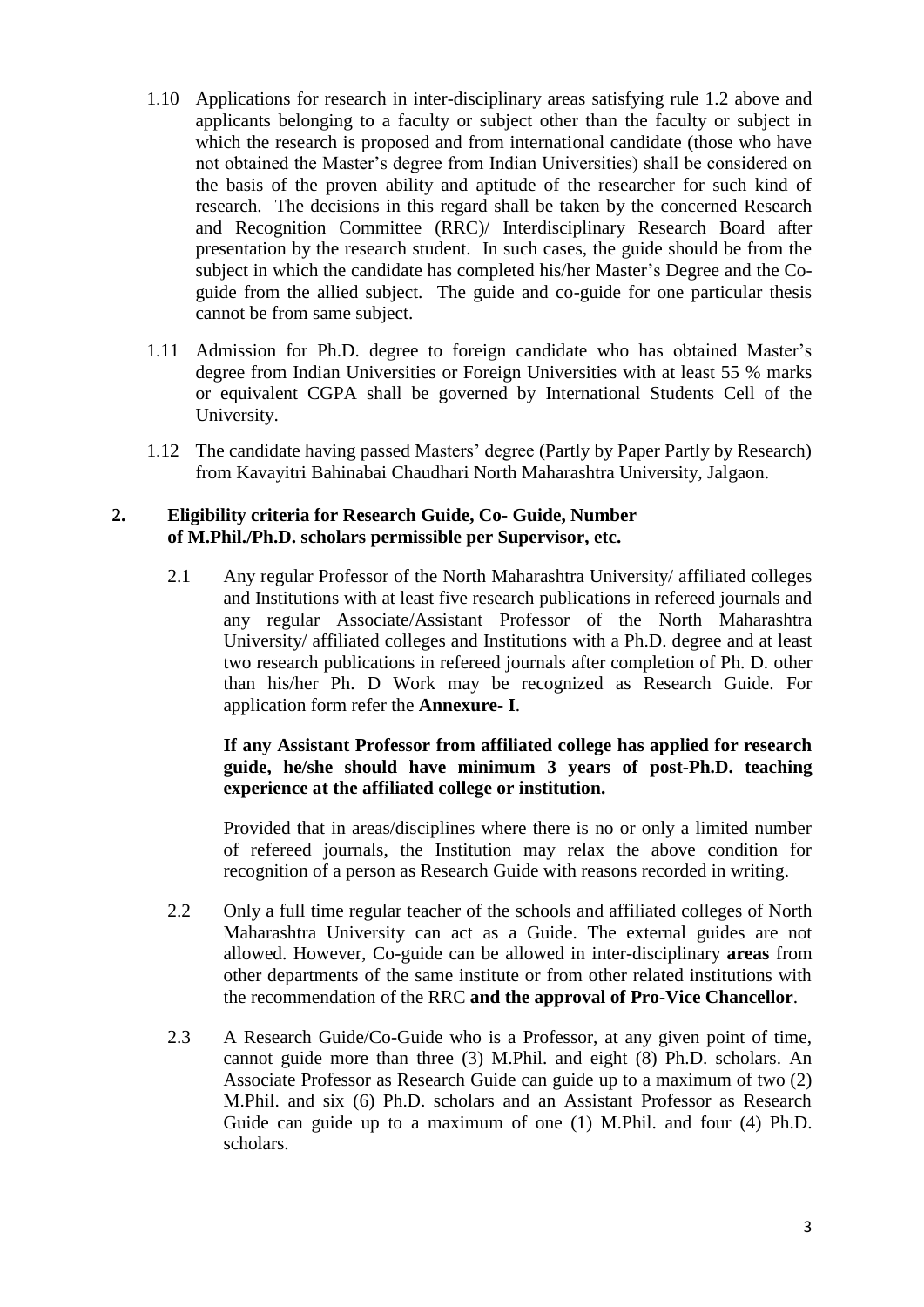- 1.10 Applications for research in inter-disciplinary areas satisfying rule 1.2 above and applicants belonging to a faculty or subject other than the faculty or subject in which the research is proposed and from international candidate (those who have not obtained the Master's degree from Indian Universities) shall be considered on the basis of the proven ability and aptitude of the researcher for such kind of research. The decisions in this regard shall be taken by the concerned Research and Recognition Committee (RRC)/ Interdisciplinary Research Board after presentation by the research student. In such cases, the guide should be from the subject in which the candidate has completed his/her Master's Degree and the Coguide from the allied subject. The guide and co-guide for one particular thesis cannot be from same subject.
- 1.11 Admission for Ph.D. degree to foreign candidate who has obtained Master's degree from Indian Universities or Foreign Universities with at least 55 % marks or equivalent CGPA shall be governed by International Students Cell of the University.
- 1.12 The candidate having passed Masters' degree (Partly by Paper Partly by Research) from Kavayitri Bahinabai Chaudhari North Maharashtra University, Jalgaon.

#### **2. Eligibility criteria for Research Guide, Co- Guide, Number of M.Phil./Ph.D. scholars permissible per Supervisor, etc.**

2.1 Any regular Professor of the North Maharashtra University/ affiliated colleges and Institutions with at least five research publications in refereed journals and any regular Associate/Assistant Professor of the North Maharashtra University/ affiliated colleges and Institutions with a Ph.D. degree and at least two research publications in refereed journals after completion of Ph. D. other than his/her Ph. D Work may be recognized as Research Guide. For application form refer the **Annexure- I**.

#### **If any Assistant Professor from affiliated college has applied for research guide, he/she should have minimum 3 years of post-Ph.D. teaching experience at the affiliated college or institution.**

Provided that in areas/disciplines where there is no or only a limited number of refereed journals, the Institution may relax the above condition for recognition of a person as Research Guide with reasons recorded in writing.

- 2.2 Only a full time regular teacher of the schools and affiliated colleges of North Maharashtra University can act as a Guide. The external guides are not allowed. However, Co-guide can be allowed in inter-disciplinary **areas** from other departments of the same institute or from other related institutions with the recommendation of the RRC **and the approval of Pro-Vice Chancellor**.
- 2.3 A Research Guide/Co-Guide who is a Professor, at any given point of time, cannot guide more than three (3) M.Phil. and eight (8) Ph.D. scholars. An Associate Professor as Research Guide can guide up to a maximum of two (2) M.Phil. and six (6) Ph.D. scholars and an Assistant Professor as Research Guide can guide up to a maximum of one (1) M.Phil. and four (4) Ph.D. scholars.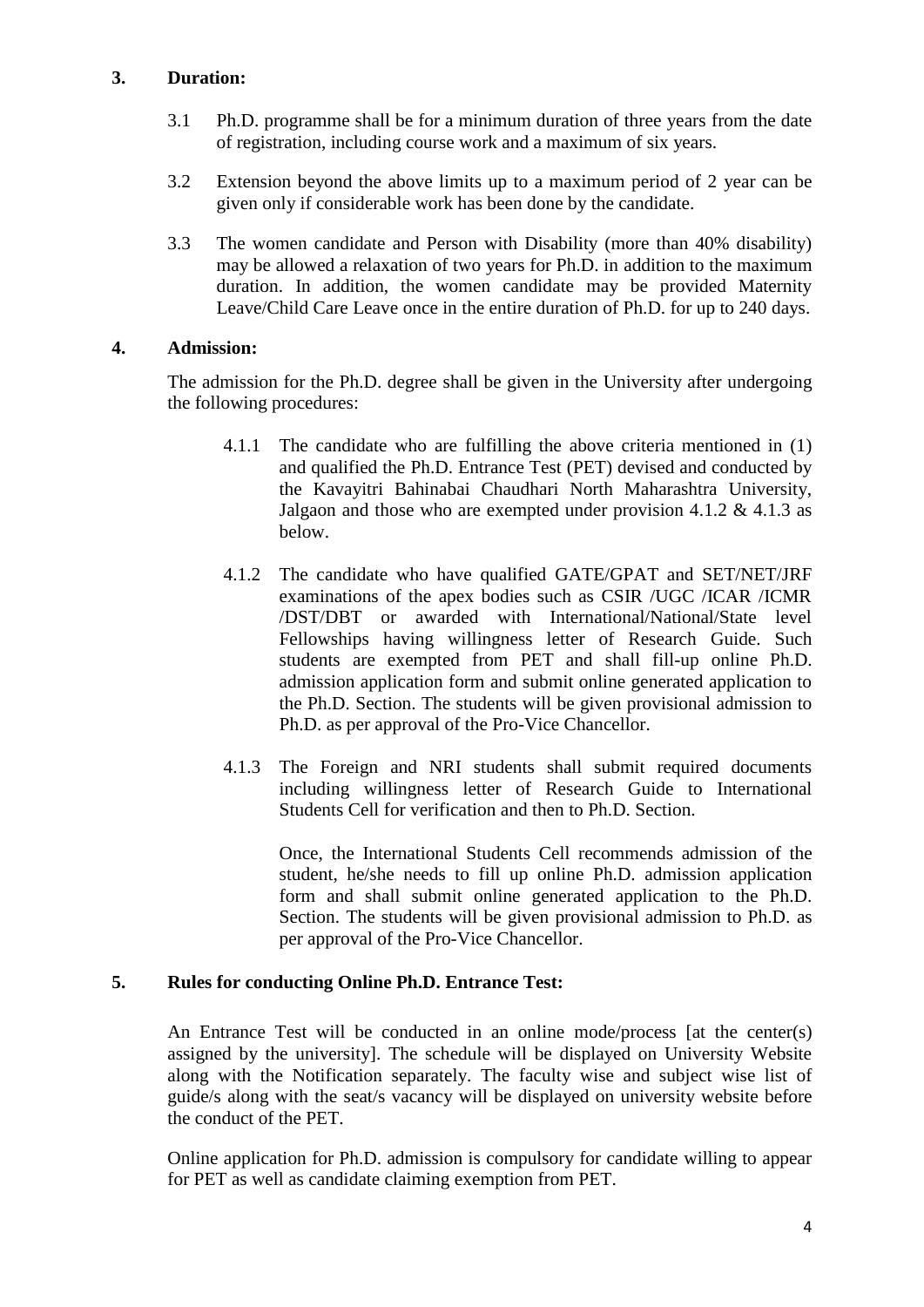#### **3. Duration:**

- 3.1 Ph.D. programme shall be for a minimum duration of three years from the date of registration, including course work and a maximum of six years.
- 3.2 Extension beyond the above limits up to a maximum period of 2 year can be given only if considerable work has been done by the candidate.
- 3.3 The women candidate and Person with Disability (more than 40% disability) may be allowed a relaxation of two years for Ph.D. in addition to the maximum duration. In addition, the women candidate may be provided Maternity Leave/Child Care Leave once in the entire duration of Ph.D. for up to 240 days.

#### **4. Admission:**

The admission for the Ph.D. degree shall be given in the University after undergoing the following procedures:

- 4.1.1 The candidate who are fulfilling the above criteria mentioned in (1) and qualified the Ph.D. Entrance Test (PET) devised and conducted by the Kavayitri Bahinabai Chaudhari North Maharashtra University, Jalgaon and those who are exempted under provision 4.1.2  $\&$  4.1.3 as below.
- 4.1.2 The candidate who have qualified GATE/GPAT and SET/NET/JRF examinations of the apex bodies such as CSIR /UGC /ICAR /ICMR /DST/DBT or awarded with International/National/State level Fellowships having willingness letter of Research Guide. Such students are exempted from PET and shall fill-up online Ph.D. admission application form and submit online generated application to the Ph.D. Section. The students will be given provisional admission to Ph.D. as per approval of the Pro-Vice Chancellor.
- 4.1.3 The Foreign and NRI students shall submit required documents including willingness letter of Research Guide to International Students Cell for verification and then to Ph.D. Section.

Once, the International Students Cell recommends admission of the student, he/she needs to fill up online Ph.D. admission application form and shall submit online generated application to the Ph.D. Section. The students will be given provisional admission to Ph.D. as per approval of the Pro-Vice Chancellor.

#### **5. Rules for conducting Online Ph.D. Entrance Test:**

An Entrance Test will be conducted in an online mode/process [at the center(s) assigned by the university]. The schedule will be displayed on University Website along with the Notification separately. The faculty wise and subject wise list of guide/s along with the seat/s vacancy will be displayed on university website before the conduct of the PET.

Online application for Ph.D. admission is compulsory for candidate willing to appear for PET as well as candidate claiming exemption from PET.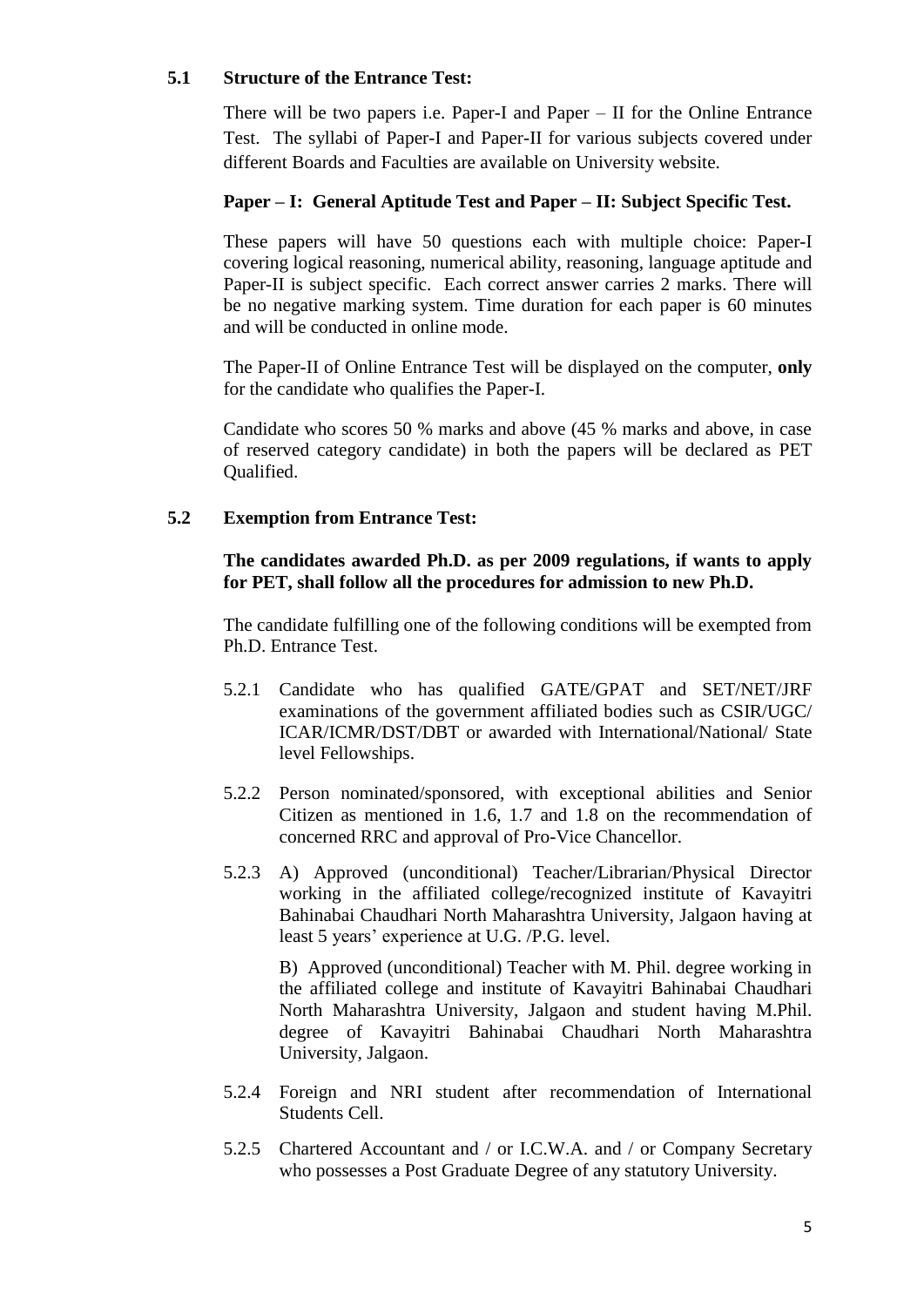#### **5.1 Structure of the Entrance Test:**

There will be two papers i.e. Paper-I and Paper – II for the Online Entrance Test. The syllabi of Paper-I and Paper-II for various subjects covered under different Boards and Faculties are available on University website.

#### **Paper – I: General Aptitude Test and Paper – II: Subject Specific Test.**

These papers will have 50 questions each with multiple choice: Paper-I covering logical reasoning, numerical ability, reasoning, language aptitude and Paper-II is subject specific. Each correct answer carries 2 marks. There will be no negative marking system. Time duration for each paper is 60 minutes and will be conducted in online mode.

The Paper-II of Online Entrance Test will be displayed on the computer, **only** for the candidate who qualifies the Paper-I.

Candidate who scores 50 % marks and above (45 % marks and above, in case of reserved category candidate) in both the papers will be declared as PET Qualified.

#### **5.2 Exemption from Entrance Test:**

**The candidates awarded Ph.D. as per 2009 regulations, if wants to apply for PET, shall follow all the procedures for admission to new Ph.D.**

The candidate fulfilling one of the following conditions will be exempted from Ph.D. Entrance Test.

- 5.2.1 Candidate who has qualified GATE/GPAT and SET/NET/JRF examinations of the government affiliated bodies such as CSIR/UGC/ ICAR/ICMR/DST/DBT or awarded with International/National/ State level Fellowships.
- 5.2.2 Person nominated/sponsored, with exceptional abilities and Senior Citizen as mentioned in 1.6, 1.7 and 1.8 on the recommendation of concerned RRC and approval of Pro-Vice Chancellor.
- 5.2.3 A) Approved (unconditional) Teacher/Librarian/Physical Director working in the affiliated college/recognized institute of Kavayitri Bahinabai Chaudhari North Maharashtra University, Jalgaon having at least 5 years' experience at U.G. /P.G. level.

B) Approved (unconditional) Teacher with M. Phil. degree working in the affiliated college and institute of Kavayitri Bahinabai Chaudhari North Maharashtra University, Jalgaon and student having M.Phil. degree of Kavayitri Bahinabai Chaudhari North Maharashtra University, Jalgaon.

- 5.2.4 Foreign and NRI student after recommendation of International Students Cell.
- 5.2.5 Chartered Accountant and / or I.C.W.A. and / or Company Secretary who possesses a Post Graduate Degree of any statutory University.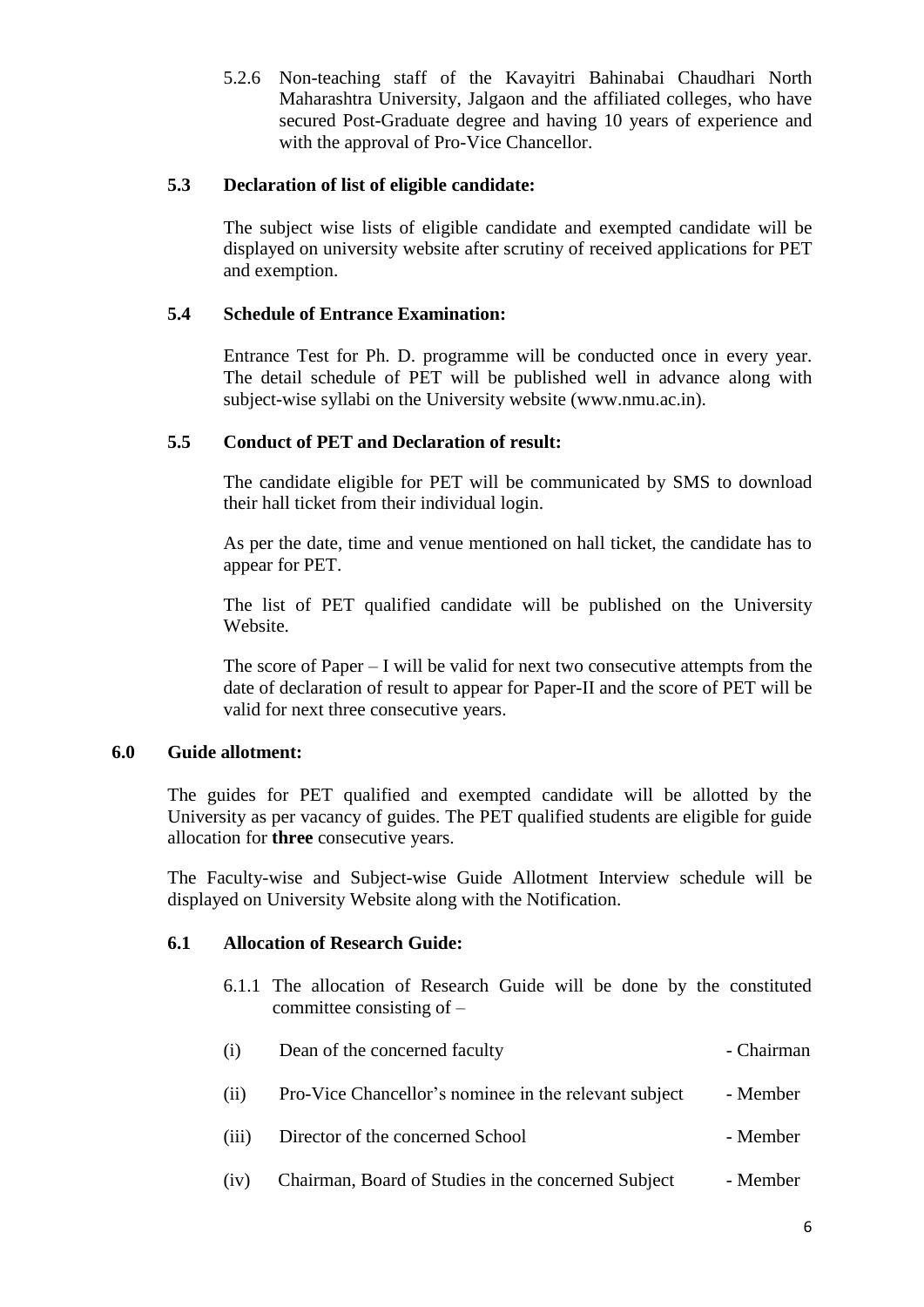5.2.6 Non-teaching staff of the Kavayitri Bahinabai Chaudhari North Maharashtra University, Jalgaon and the affiliated colleges, who have secured Post-Graduate degree and having 10 years of experience and with the approval of Pro-Vice Chancellor.

#### **5.3 Declaration of list of eligible candidate:**

The subject wise lists of eligible candidate and exempted candidate will be displayed on university website after scrutiny of received applications for PET and exemption.

#### **5.4 Schedule of Entrance Examination:**

Entrance Test for Ph. D. programme will be conducted once in every year. The detail schedule of PET will be published well in advance along with subject-wise syllabi on the University website (www.nmu.ac.in).

#### **5.5 Conduct of PET and Declaration of result:**

The candidate eligible for PET will be communicated by SMS to download their hall ticket from their individual login.

As per the date, time and venue mentioned on hall ticket, the candidate has to appear for PET.

The list of PET qualified candidate will be published on the University Website.

The score of Paper  $- I$  will be valid for next two consecutive attempts from the date of declaration of result to appear for Paper-II and the score of PET will be valid for next three consecutive years.

#### **6.0 Guide allotment:**

The guides for PET qualified and exempted candidate will be allotted by the University as per vacancy of guides. The PET qualified students are eligible for guide allocation for **three** consecutive years.

The Faculty-wise and Subject-wise Guide Allotment Interview schedule will be displayed on University Website along with the Notification.

#### **6.1 Allocation of Research Guide:**

6.1.1 The allocation of Research Guide will be done by the constituted committee consisting of –

| (i)   | Dean of the concerned faculty                         | - Chairman |
|-------|-------------------------------------------------------|------------|
| (i)   | Pro-Vice Chancellor's nominee in the relevant subject | - Member   |
| (iii) | Director of the concerned School                      | - Member   |
| (iv)  | Chairman, Board of Studies in the concerned Subject   | - Member   |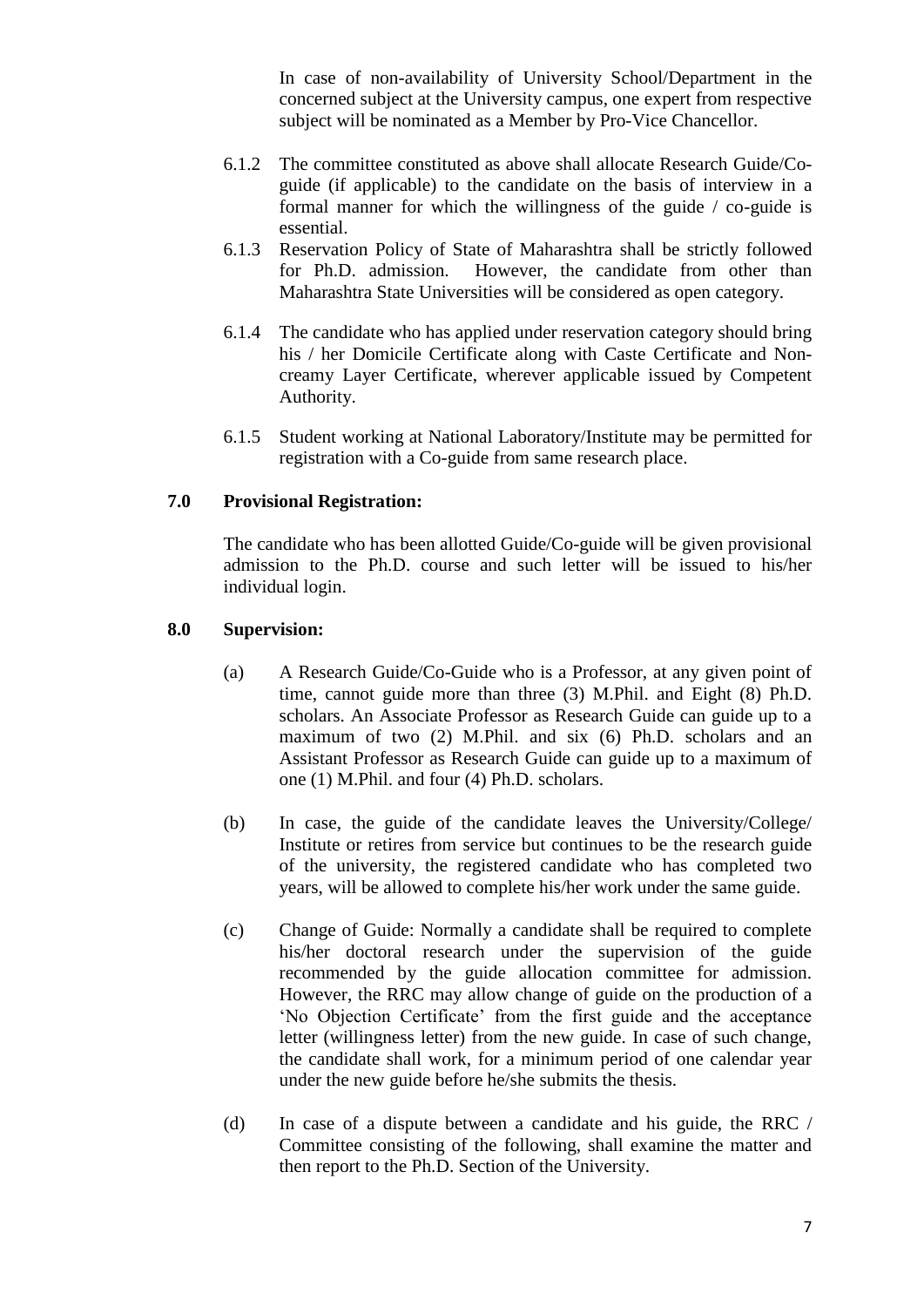In case of non-availability of University School/Department in the concerned subject at the University campus, one expert from respective subject will be nominated as a Member by Pro-Vice Chancellor.

- 6.1.2 The committee constituted as above shall allocate Research Guide/Coguide (if applicable) to the candidate on the basis of interview in a formal manner for which the willingness of the guide / co-guide is essential.
- 6.1.3 Reservation Policy of State of Maharashtra shall be strictly followed for Ph.D. admission. However, the candidate from other than Maharashtra State Universities will be considered as open category.
- 6.1.4 The candidate who has applied under reservation category should bring his / her Domicile Certificate along with Caste Certificate and Noncreamy Layer Certificate, wherever applicable issued by Competent Authority.
- 6.1.5 Student working at National Laboratory/Institute may be permitted for registration with a Co-guide from same research place.

#### **7.0 Provisional Registration:**

The candidate who has been allotted Guide/Co-guide will be given provisional admission to the Ph.D. course and such letter will be issued to his/her individual login.

#### **8.0 Supervision:**

- (a) A Research Guide/Co-Guide who is a Professor, at any given point of time, cannot guide more than three (3) M.Phil. and Eight (8) Ph.D. scholars. An Associate Professor as Research Guide can guide up to a maximum of two (2) M.Phil. and six (6) Ph.D. scholars and an Assistant Professor as Research Guide can guide up to a maximum of one (1) M.Phil. and four (4) Ph.D. scholars.
- (b) In case, the guide of the candidate leaves the University/College/ Institute or retires from service but continues to be the research guide of the university, the registered candidate who has completed two years, will be allowed to complete his/her work under the same guide.
- (c) Change of Guide: Normally a candidate shall be required to complete his/her doctoral research under the supervision of the guide recommended by the guide allocation committee for admission. However, the RRC may allow change of guide on the production of a 'No Objection Certificate' from the first guide and the acceptance letter (willingness letter) from the new guide. In case of such change, the candidate shall work, for a minimum period of one calendar year under the new guide before he/she submits the thesis.
- (d) In case of a dispute between a candidate and his guide, the RRC / Committee consisting of the following, shall examine the matter and then report to the Ph.D. Section of the University.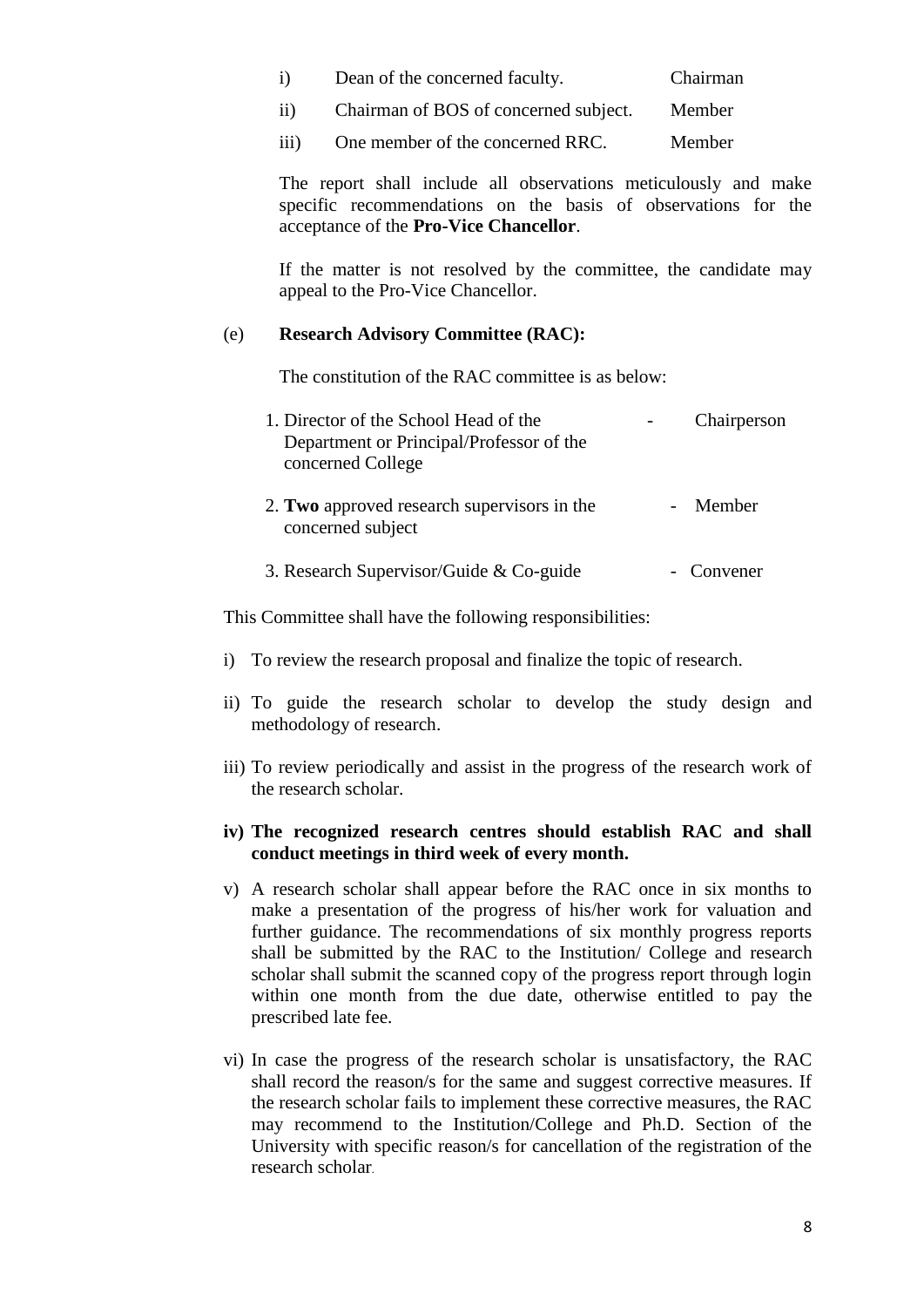| $\mathbf{i}$ | Dean of the concerned faculty. | Chairman |
|--------------|--------------------------------|----------|
|--------------|--------------------------------|----------|

- ii) Chairman of BOS of concerned subject. Member
- iii) One member of the concerned RRC. Member

The report shall include all observations meticulously and make specific recommendations on the basis of observations for the acceptance of the **Pro-Vice Chancellor**.

If the matter is not resolved by the committee, the candidate may appeal to the Pro-Vice Chancellor.

#### (e) **Research Advisory Committee (RAC):**

The constitution of the RAC committee is as below:

| 1. Director of the School Head of the<br>Department or Principal/Professor of the<br>concerned College | Chairperson |
|--------------------------------------------------------------------------------------------------------|-------------|
| 2. Two approved research supervisors in the<br>concerned subject                                       | Member      |
| 3. Research Supervisor/Guide & Co-guide                                                                | - Convener  |

This Committee shall have the following responsibilities:

- i) To review the research proposal and finalize the topic of research.
- ii) To guide the research scholar to develop the study design and methodology of research.
- iii) To review periodically and assist in the progress of the research work of the research scholar.

#### **iv) The recognized research centres should establish RAC and shall conduct meetings in third week of every month.**

- v) A research scholar shall appear before the RAC once in six months to make a presentation of the progress of his/her work for valuation and further guidance. The recommendations of six monthly progress reports shall be submitted by the RAC to the Institution/ College and research scholar shall submit the scanned copy of the progress report through login within one month from the due date, otherwise entitled to pay the prescribed late fee.
- vi) In case the progress of the research scholar is unsatisfactory, the RAC shall record the reason/s for the same and suggest corrective measures. If the research scholar fails to implement these corrective measures, the RAC may recommend to the Institution/College and Ph.D. Section of the University with specific reason/s for cancellation of the registration of the research scholar.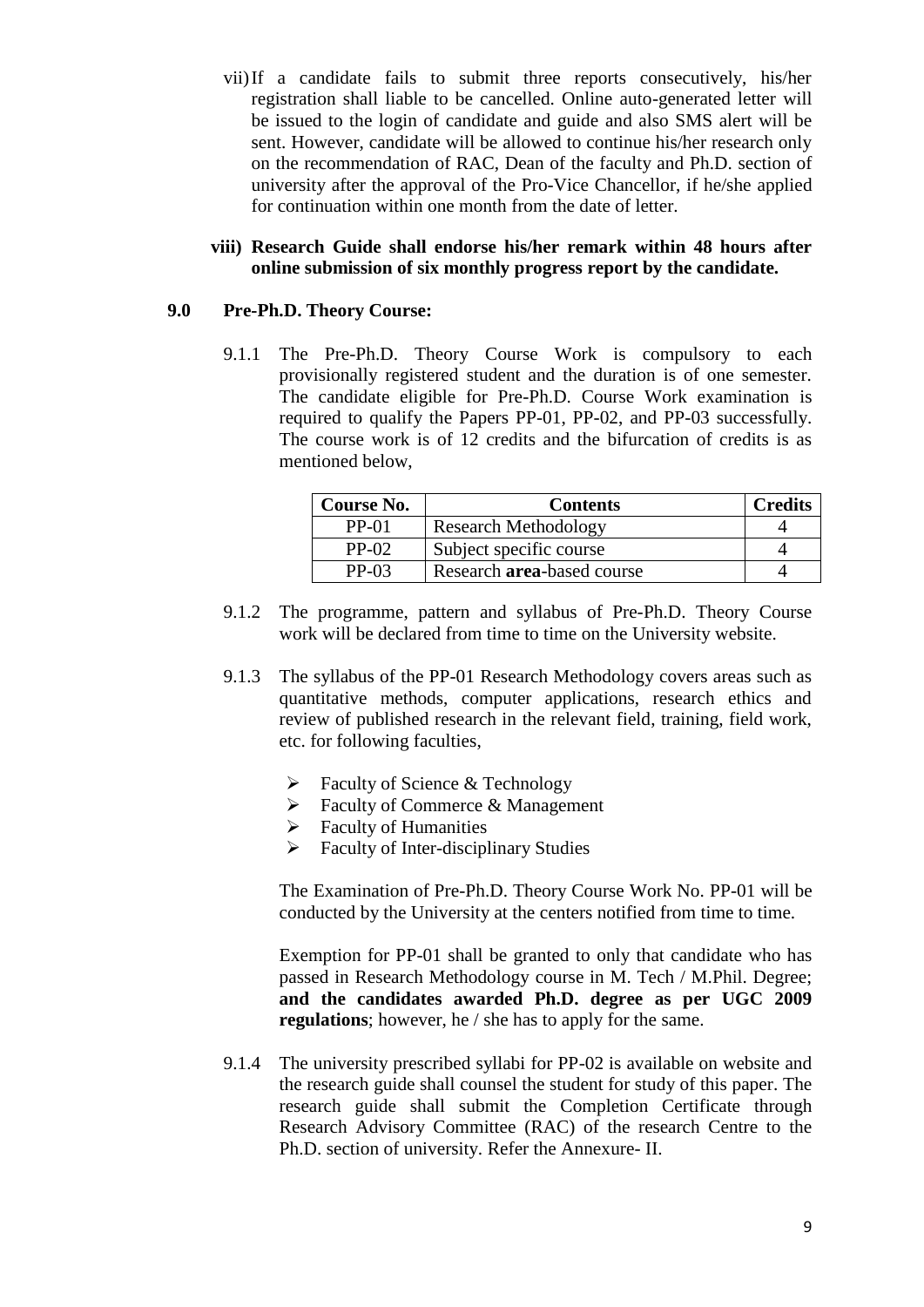vii)If a candidate fails to submit three reports consecutively, his/her registration shall liable to be cancelled. Online auto-generated letter will be issued to the login of candidate and guide and also SMS alert will be sent. However, candidate will be allowed to continue his/her research only on the recommendation of RAC, Dean of the faculty and Ph.D. section of university after the approval of the Pro-Vice Chancellor, if he/she applied for continuation within one month from the date of letter.

#### **viii) Research Guide shall endorse his/her remark within 48 hours after online submission of six monthly progress report by the candidate.**

#### **9.0 Pre-Ph.D. Theory Course:**

9.1.1 The Pre-Ph.D. Theory Course Work is compulsory to each provisionally registered student and the duration is of one semester. The candidate eligible for Pre-Ph.D. Course Work examination is required to qualify the Papers PP-01, PP-02, and PP-03 successfully. The course work is of 12 credits and the bifurcation of credits is as mentioned below,

| Course No. | <b>Contents</b>             | <b>Credits</b> |
|------------|-----------------------------|----------------|
| $PP-01$    | <b>Research Methodology</b> |                |
| $PP-02$    | Subject specific course     |                |
| $PP-03$    | Research area-based course  |                |

- 9.1.2 The programme, pattern and syllabus of Pre-Ph.D. Theory Course work will be declared from time to time on the University website.
- 9.1.3 The syllabus of the PP-01 Research Methodology covers areas such as quantitative methods, computer applications, research ethics and review of published research in the relevant field, training, field work, etc. for following faculties,
	- $\triangleright$  Faculty of Science & Technology
	- $\triangleright$  Faculty of Commerce & Management
	- $\triangleright$  Faculty of Humanities
	- $\triangleright$  Faculty of Inter-disciplinary Studies

The Examination of Pre-Ph.D. Theory Course Work No. PP-01 will be conducted by the University at the centers notified from time to time.

Exemption for PP-01 shall be granted to only that candidate who has passed in Research Methodology course in M. Tech / M.Phil. Degree; **and the candidates awarded Ph.D. degree as per UGC 2009 regulations**; however, he / she has to apply for the same.

9.1.4 The university prescribed syllabi for PP-02 is available on website and the research guide shall counsel the student for study of this paper. The research guide shall submit the Completion Certificate through Research Advisory Committee (RAC) of the research Centre to the Ph.D. section of university. Refer the Annexure- II.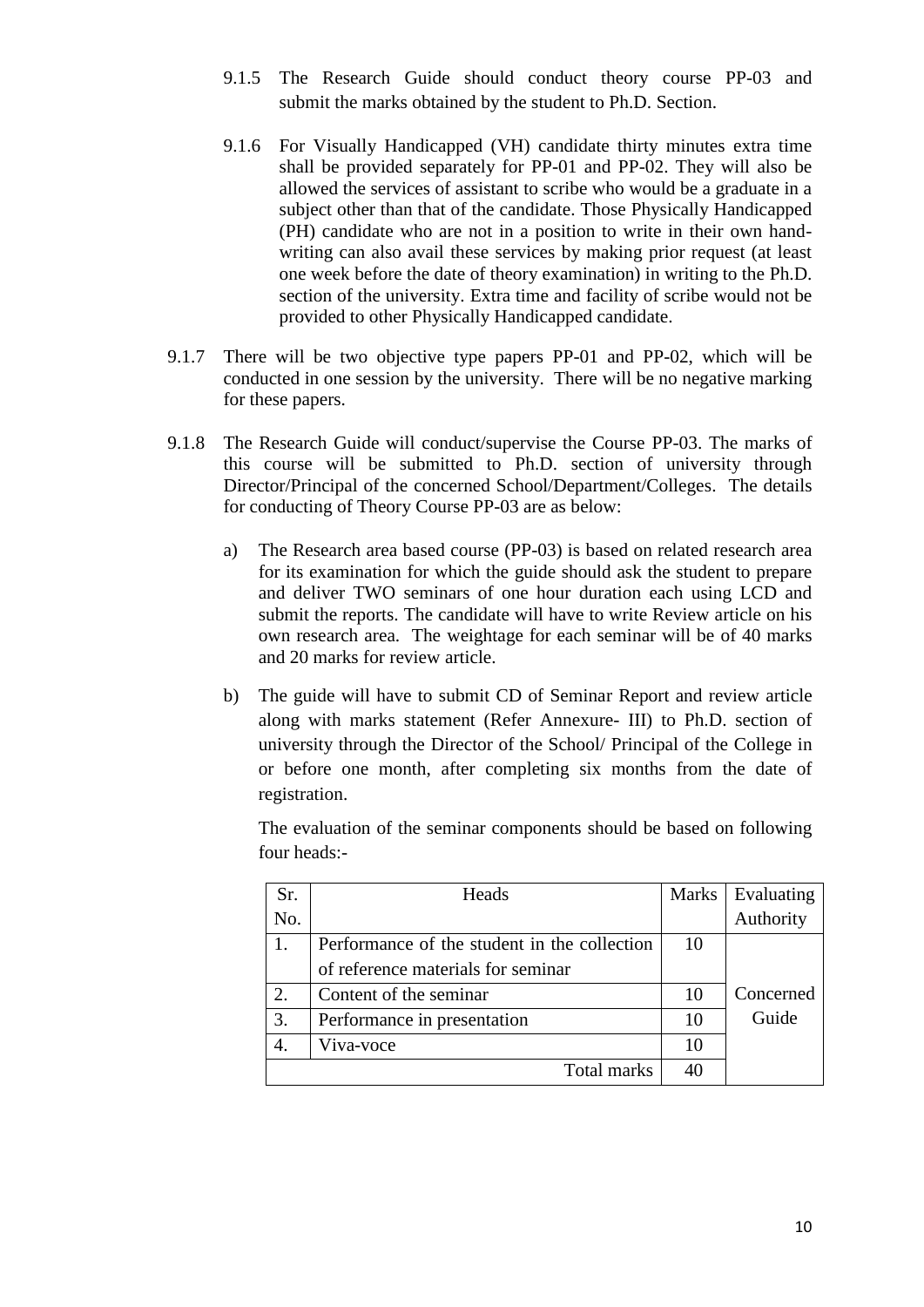- 9.1.5The Research Guide should conduct theory course PP-03 and submit the marks obtained by the student to Ph.D. Section.
- 9.1.6 For Visually Handicapped (VH) candidate thirty minutes extra time shall be provided separately for PP-01 and PP-02. They will also be allowed the services of assistant to scribe who would be a graduate in a subject other than that of the candidate. Those Physically Handicapped (PH) candidate who are not in a position to write in their own handwriting can also avail these services by making prior request (at least one week before the date of theory examination) in writing to the Ph.D. section of the university. Extra time and facility of scribe would not be provided to other Physically Handicapped candidate.
- 9.1.7 There will be two objective type papers PP-01 and PP-02, which will be conducted in one session by the university. There will be no negative marking for these papers.
- 9.1.8 The Research Guide will conduct/supervise the Course PP-03. The marks of this course will be submitted to Ph.D. section of university through Director/Principal of the concerned School/Department/Colleges. The details for conducting of Theory Course PP-03 are as below:
	- a) The Research area based course (PP-03) is based on related research area for its examination for which the guide should ask the student to prepare and deliver TWO seminars of one hour duration each using LCD and submit the reports. The candidate will have to write Review article on his own research area. The weightage for each seminar will be of 40 marks and 20 marks for review article.
	- b) The guide will have to submit CD of Seminar Report and review article along with marks statement (Refer Annexure- III) to Ph.D. section of university through the Director of the School/ Principal of the College in or before one month, after completing six months from the date of registration.

The evaluation of the seminar components should be based on following four heads:-

| Sr. | Heads                                        | <b>Marks</b> | Evaluating |
|-----|----------------------------------------------|--------------|------------|
| No. |                                              |              | Authority  |
|     | Performance of the student in the collection | 10           |            |
|     | of reference materials for seminar           |              |            |
| 2.  | Content of the seminar                       | 10           | Concerned  |
| 3.  | Performance in presentation                  | 10           | Guide      |
|     | Viva-voce                                    | 10           |            |
|     | Total marks                                  | 40           |            |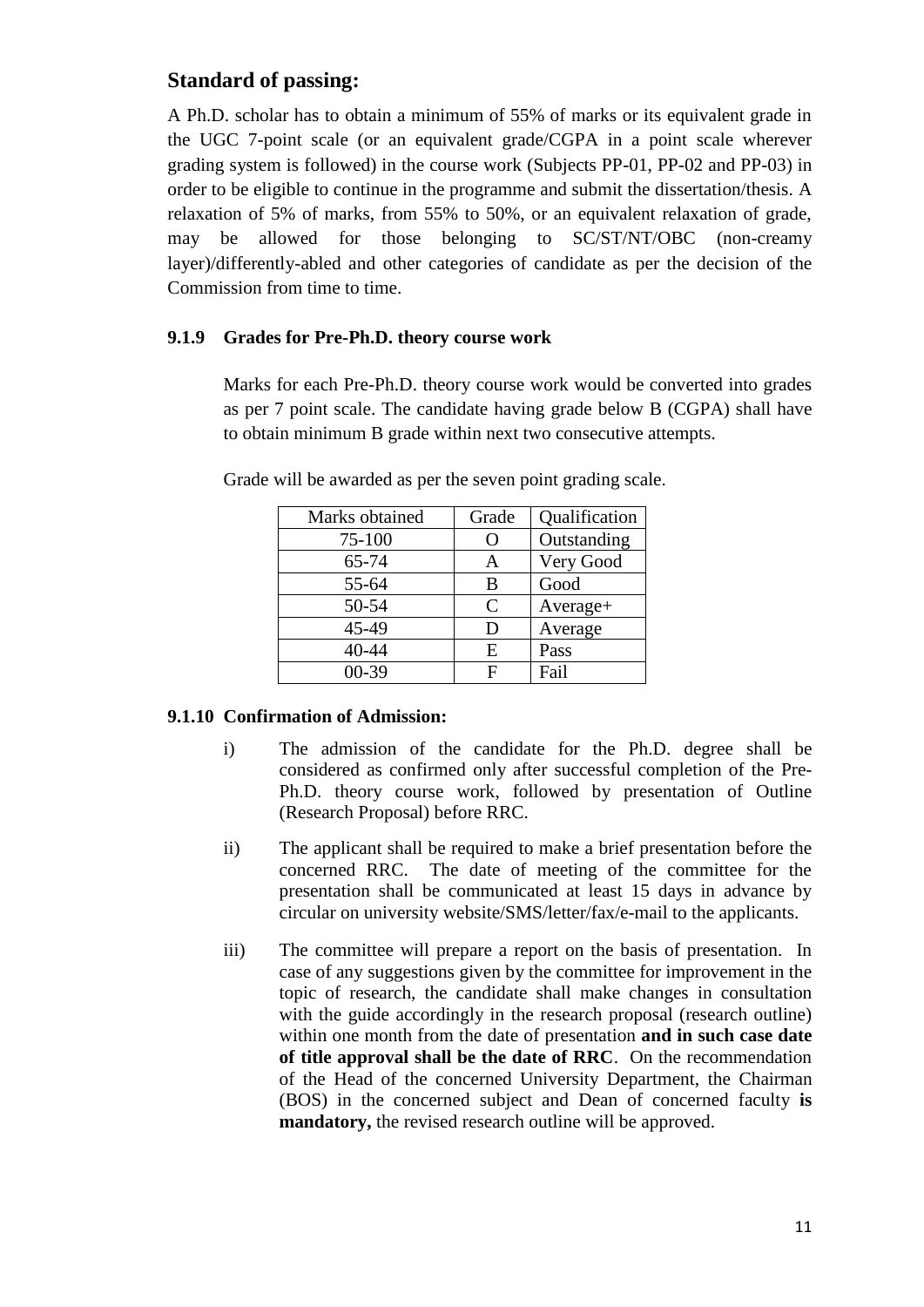### **Standard of passing:**

A Ph.D. scholar has to obtain a minimum of 55% of marks or its equivalent grade in the UGC 7-point scale (or an equivalent grade/CGPA in a point scale wherever grading system is followed) in the course work (Subjects PP-01, PP-02 and PP-03) in order to be eligible to continue in the programme and submit the dissertation/thesis. A relaxation of 5% of marks, from 55% to 50%, or an equivalent relaxation of grade, may be allowed for those belonging to SC/ST/NT/OBC (non-creamy layer)/differently-abled and other categories of candidate as per the decision of the Commission from time to time.

#### **9.1.9 Grades for Pre-Ph.D. theory course work**

Marks for each Pre-Ph.D. theory course work would be converted into grades as per 7 point scale. The candidate having grade below B (CGPA) shall have to obtain minimum B grade within next two consecutive attempts.

| Marks obtained | Grade | Qualification |
|----------------|-------|---------------|
| 75-100         | 0     | Outstanding   |
| 65-74          | А     | Very Good     |
| 55-64          | В     | Good          |
| 50-54          | C     | Average+      |
| 45-49          | D     | Average       |
| 40-44          | E     | Pass          |
| $00-39$        |       | Fail          |

Grade will be awarded as per the seven point grading scale.

### **9.1.10 Confirmation of Admission:**

- i) The admission of the candidate for the Ph.D. degree shall be considered as confirmed only after successful completion of the Pre-Ph.D. theory course work, followed by presentation of Outline (Research Proposal) before RRC.
- ii) The applicant shall be required to make a brief presentation before the concerned RRC. The date of meeting of the committee for the presentation shall be communicated at least 15 days in advance by circular on university website/SMS/letter/fax/e-mail to the applicants.
- iii) The committee will prepare a report on the basis of presentation. In case of any suggestions given by the committee for improvement in the topic of research, the candidate shall make changes in consultation with the guide accordingly in the research proposal (research outline) within one month from the date of presentation **and in such case date of title approval shall be the date of RRC**. On the recommendation of the Head of the concerned University Department, the Chairman (BOS) in the concerned subject and Dean of concerned faculty **is mandatory,** the revised research outline will be approved.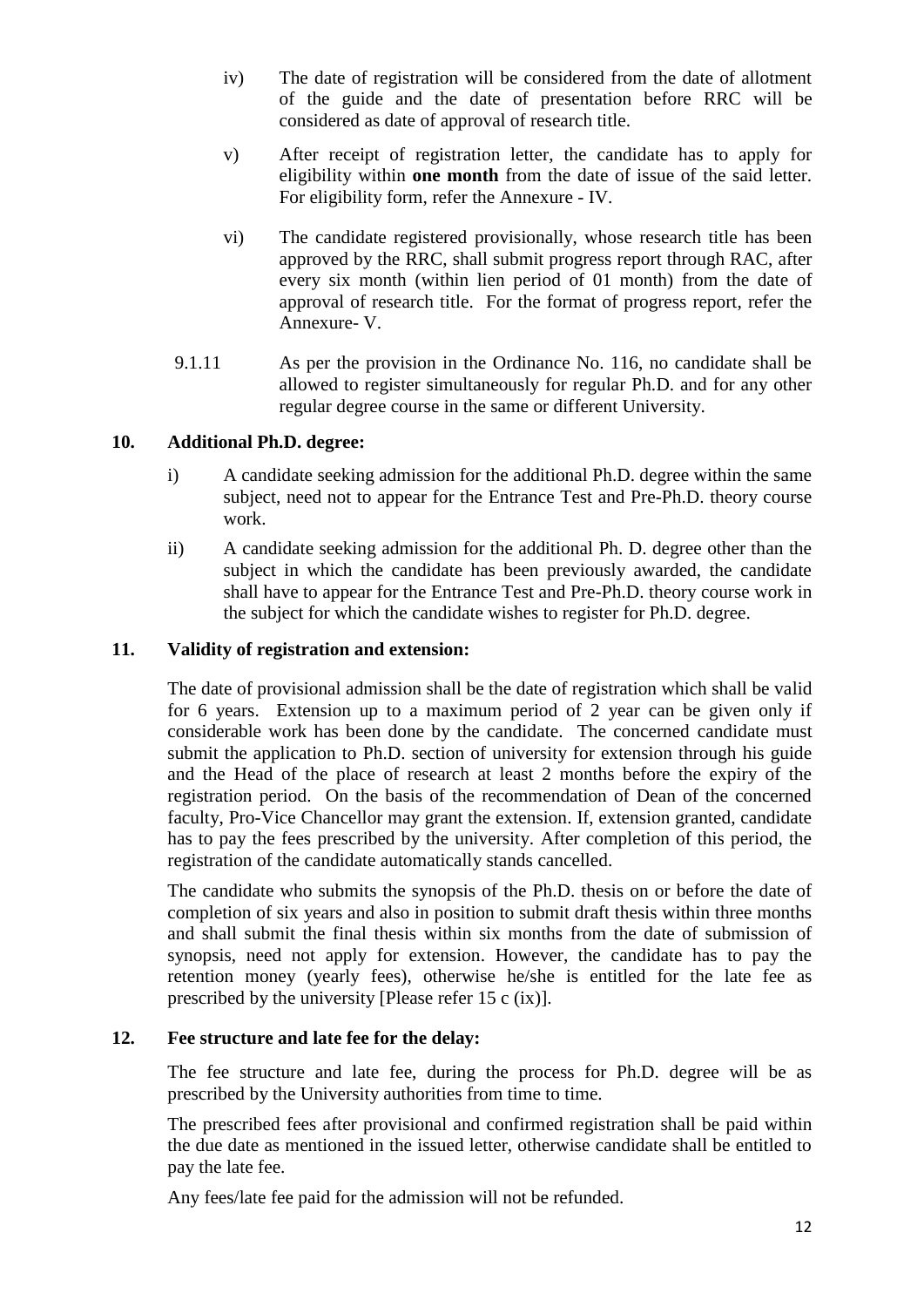- iv) The date of registration will be considered from the date of allotment of the guide and the date of presentation before RRC will be considered as date of approval of research title.
- v) After receipt of registration letter, the candidate has to apply for eligibility within **one month** from the date of issue of the said letter. For eligibility form, refer the Annexure - IV.
- vi) The candidate registered provisionally, whose research title has been approved by the RRC, shall submit progress report through RAC, after every six month (within lien period of 01 month) from the date of approval of research title. For the format of progress report, refer the Annexure- V.
- 9.1.11 As per the provision in the Ordinance No. 116, no candidate shall be allowed to register simultaneously for regular Ph.D. and for any other regular degree course in the same or different University.

#### **10. Additional Ph.D. degree:**

- i) A candidate seeking admission for the additional Ph.D. degree within the same subject, need not to appear for the Entrance Test and Pre-Ph.D. theory course work.
- ii) A candidate seeking admission for the additional Ph. D. degree other than the subject in which the candidate has been previously awarded, the candidate shall have to appear for the Entrance Test and Pre-Ph.D. theory course work in the subject for which the candidate wishes to register for Ph.D. degree.

#### **11. Validity of registration and extension:**

The date of provisional admission shall be the date of registration which shall be valid for 6 years. Extension up to a maximum period of 2 year can be given only if considerable work has been done by the candidate. The concerned candidate must submit the application to Ph.D. section of university for extension through his guide and the Head of the place of research at least 2 months before the expiry of the registration period. On the basis of the recommendation of Dean of the concerned faculty, Pro-Vice Chancellor may grant the extension. If, extension granted, candidate has to pay the fees prescribed by the university. After completion of this period, the registration of the candidate automatically stands cancelled.

The candidate who submits the synopsis of the Ph.D. thesis on or before the date of completion of six years and also in position to submit draft thesis within three months and shall submit the final thesis within six months from the date of submission of synopsis, need not apply for extension. However, the candidate has to pay the retention money (yearly fees), otherwise he/she is entitled for the late fee as prescribed by the university [Please refer 15 c (ix)].

#### **12. Fee structure and late fee for the delay:**

The fee structure and late fee, during the process for Ph.D. degree will be as prescribed by the University authorities from time to time.

The prescribed fees after provisional and confirmed registration shall be paid within the due date as mentioned in the issued letter, otherwise candidate shall be entitled to pay the late fee.

Any fees/late fee paid for the admission will not be refunded.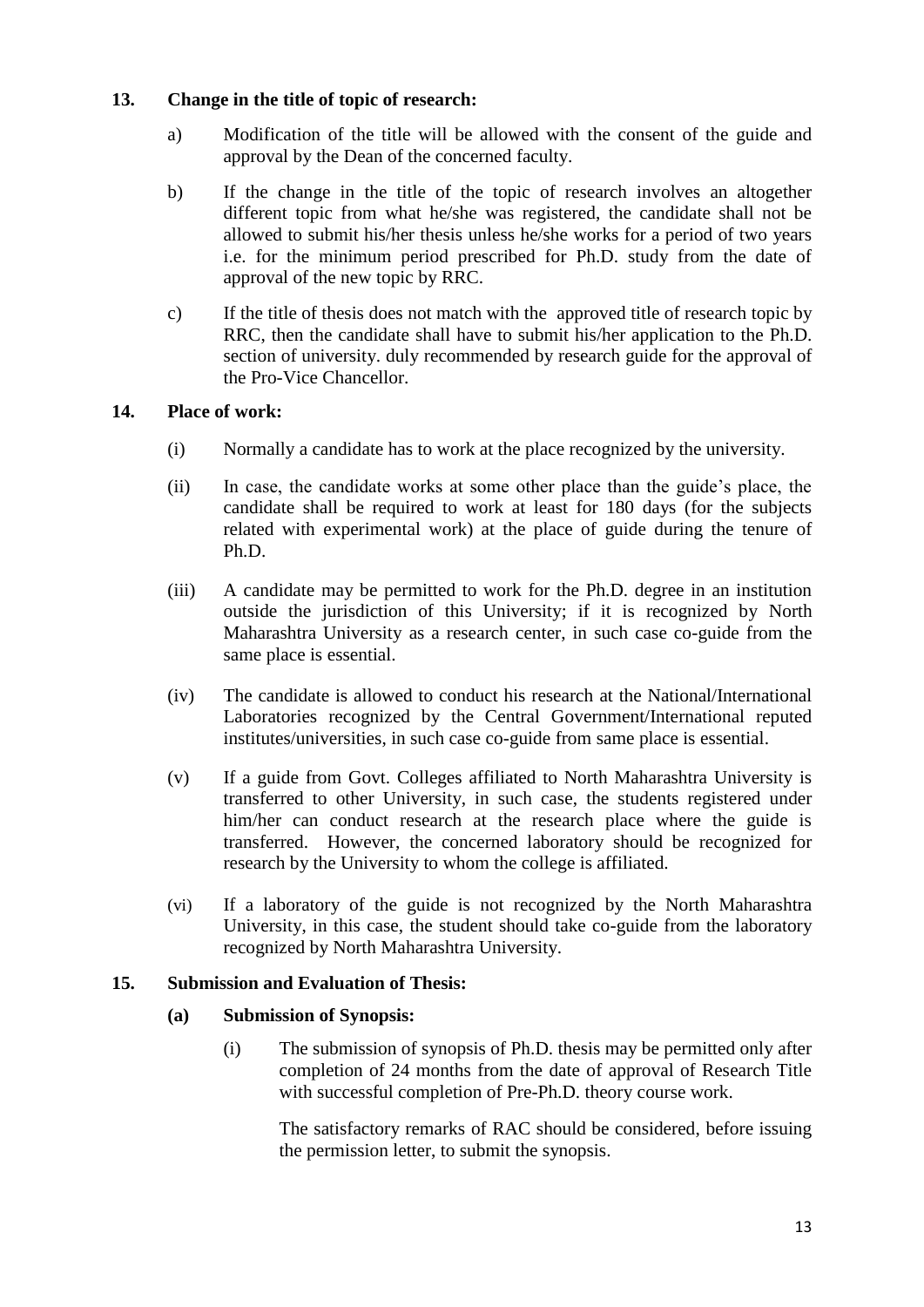#### **13. Change in the title of topic of research:**

- a) Modification of the title will be allowed with the consent of the guide and approval by the Dean of the concerned faculty.
- b) If the change in the title of the topic of research involves an altogether different topic from what he/she was registered, the candidate shall not be allowed to submit his/her thesis unless he/she works for a period of two years i.e. for the minimum period prescribed for Ph.D. study from the date of approval of the new topic by RRC.
- c) If the title of thesis does not match with the approved title of research topic by RRC, then the candidate shall have to submit his/her application to the Ph.D. section of university. duly recommended by research guide for the approval of the Pro-Vice Chancellor.

#### **14. Place of work:**

- (i) Normally a candidate has to work at the place recognized by the university.
- (ii) In case, the candidate works at some other place than the guide's place, the candidate shall be required to work at least for 180 days (for the subjects related with experimental work) at the place of guide during the tenure of Ph.D.
- (iii) A candidate may be permitted to work for the Ph.D. degree in an institution outside the jurisdiction of this University; if it is recognized by North Maharashtra University as a research center, in such case co-guide from the same place is essential.
- (iv) The candidate is allowed to conduct his research at the National/International Laboratories recognized by the Central Government/International reputed institutes/universities, in such case co-guide from same place is essential.
- (v) If a guide from Govt. Colleges affiliated to North Maharashtra University is transferred to other University, in such case, the students registered under him/her can conduct research at the research place where the guide is transferred. However, the concerned laboratory should be recognized for research by the University to whom the college is affiliated.
- (vi) If a laboratory of the guide is not recognized by the North Maharashtra University, in this case, the student should take co-guide from the laboratory recognized by North Maharashtra University.

#### **15. Submission and Evaluation of Thesis:**

#### **(a) Submission of Synopsis:**

(i) The submission of synopsis of Ph.D. thesis may be permitted only after completion of 24 months from the date of approval of Research Title with successful completion of Pre-Ph.D. theory course work.

The satisfactory remarks of RAC should be considered, before issuing the permission letter, to submit the synopsis.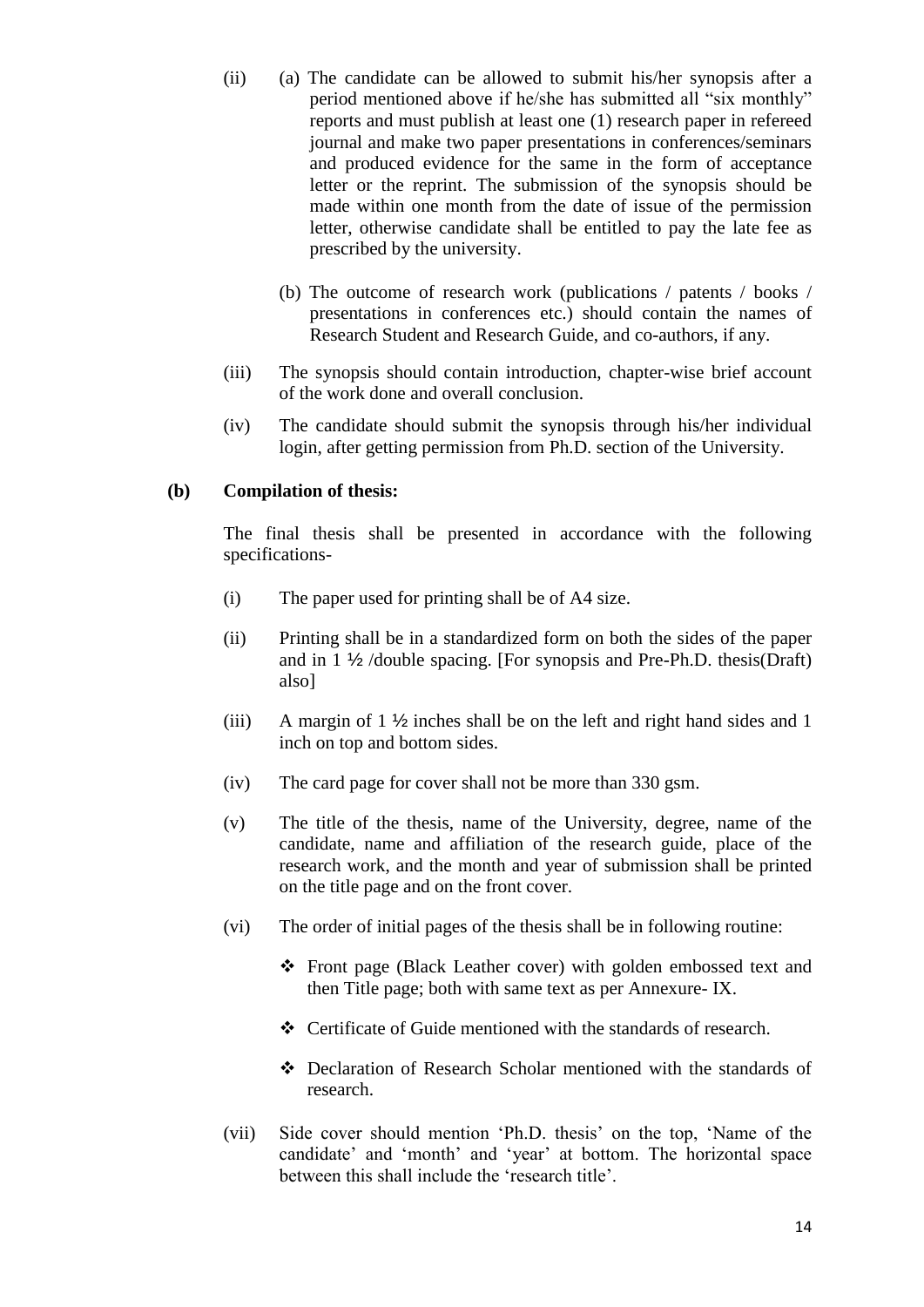- (ii) (a) The candidate can be allowed to submit his/her synopsis after a period mentioned above if he/she has submitted all "six monthly" reports and must publish at least one (1) research paper in refereed journal and make two paper presentations in conferences/seminars and produced evidence for the same in the form of acceptance letter or the reprint. The submission of the synopsis should be made within one month from the date of issue of the permission letter, otherwise candidate shall be entitled to pay the late fee as prescribed by the university.
	- (b) The outcome of research work (publications / patents / books / presentations in conferences etc.) should contain the names of Research Student and Research Guide, and co-authors, if any.
- (iii) The synopsis should contain introduction, chapter-wise brief account of the work done and overall conclusion.
- (iv) The candidate should submit the synopsis through his/her individual login, after getting permission from Ph.D. section of the University.

#### **(b) Compilation of thesis:**

The final thesis shall be presented in accordance with the following specifications-

- (i) The paper used for printing shall be of A4 size.
- (ii) Printing shall be in a standardized form on both the sides of the paper and in 1 ½ /double spacing. [For synopsis and Pre-Ph.D. thesis(Draft) also]
- (iii) A margin of 1 ½ inches shall be on the left and right hand sides and 1 inch on top and bottom sides.
- (iv) The card page for cover shall not be more than 330 gsm.
- (v) The title of the thesis, name of the University, degree, name of the candidate, name and affiliation of the research guide, place of the research work, and the month and year of submission shall be printed on the title page and on the front cover.
- (vi) The order of initial pages of the thesis shall be in following routine:
	- Front page (Black Leather cover) with golden embossed text and then Title page; both with same text as per Annexure- IX.
	- Certificate of Guide mentioned with the standards of research.
	- Declaration of Research Scholar mentioned with the standards of research.
- (vii) Side cover should mention 'Ph.D. thesis' on the top, 'Name of the candidate' and 'month' and 'year' at bottom. The horizontal space between this shall include the 'research title'.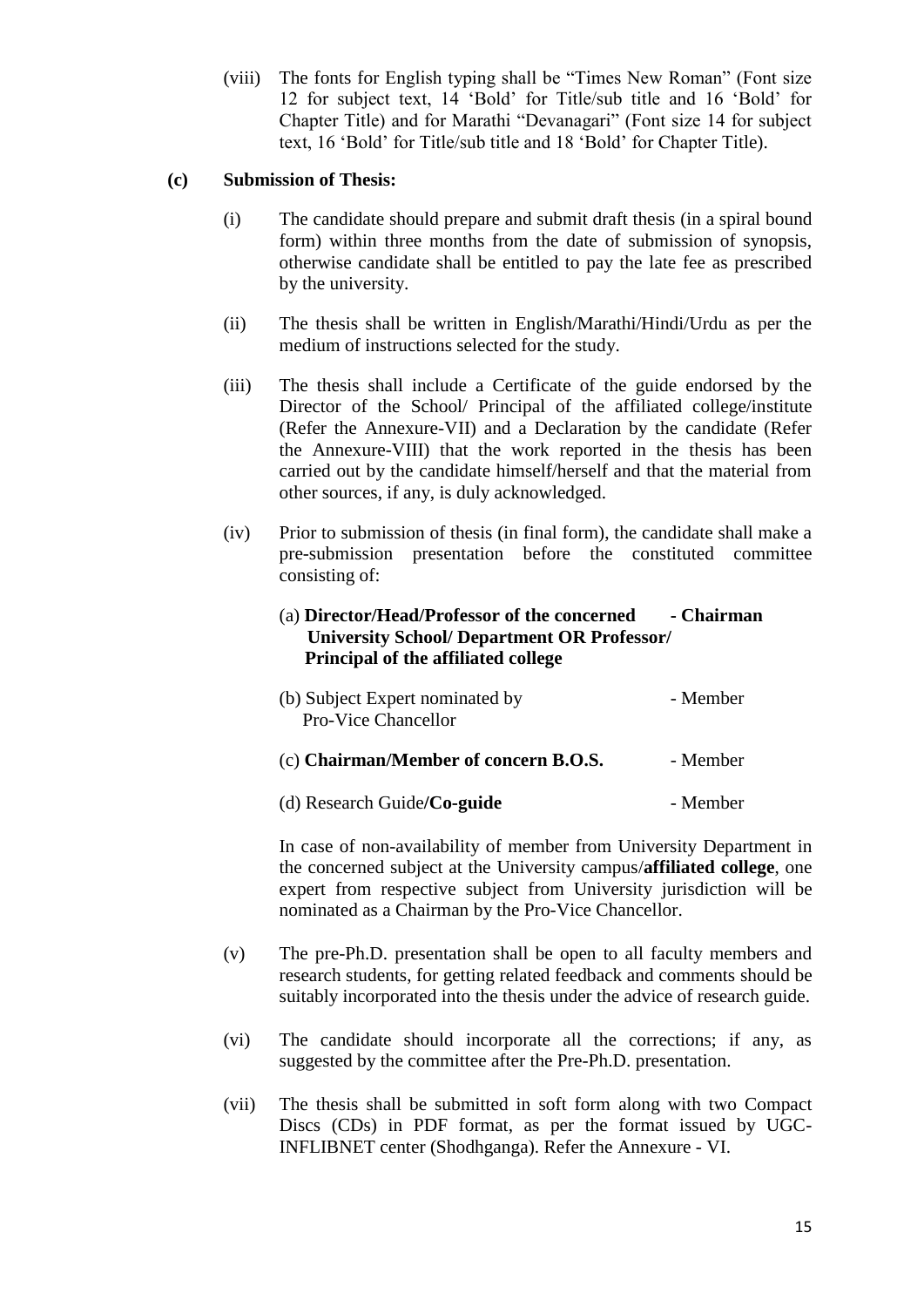(viii) The fonts for English typing shall be "Times New Roman" (Font size 12 for subject text, 14 'Bold' for Title/sub title and 16 'Bold' for Chapter Title) and for Marathi "Devanagari" (Font size 14 for subject text, 16 'Bold' for Title/sub title and 18 'Bold' for Chapter Title).

#### **(c) Submission of Thesis:**

- (i) The candidate should prepare and submit draft thesis (in a spiral bound form) within three months from the date of submission of synopsis, otherwise candidate shall be entitled to pay the late fee as prescribed by the university.
- (ii) The thesis shall be written in English/Marathi/Hindi/Urdu as per the medium of instructions selected for the study.
- (iii) The thesis shall include a Certificate of the guide endorsed by the Director of the School/ Principal of the affiliated college/institute (Refer the Annexure-VII) and a Declaration by the candidate (Refer the Annexure-VIII) that the work reported in the thesis has been carried out by the candidate himself/herself and that the material from other sources, if any, is duly acknowledged.
- (iv) Prior to submission of thesis (in final form), the candidate shall make a pre-submission presentation before the constituted committee consisting of:

| (a) Director/Head/Professor of the concerned<br><b>University School/ Department OR Professor/</b><br>Principal of the affiliated college | - Chairman |
|-------------------------------------------------------------------------------------------------------------------------------------------|------------|
| (b) Subject Expert nominated by<br><b>Pro-Vice Chancellor</b>                                                                             | - Member   |
| (c) Chairman/Member of concern B.O.S.                                                                                                     | - Member   |
| (d) Research Guide/ $Co$ -guide                                                                                                           | - Member   |

In case of non-availability of member from University Department in the concerned subject at the University campus/**affiliated college**, one expert from respective subject from University jurisdiction will be nominated as a Chairman by the Pro-Vice Chancellor.

- (v) The pre-Ph.D. presentation shall be open to all faculty members and research students, for getting related feedback and comments should be suitably incorporated into the thesis under the advice of research guide.
- (vi) The candidate should incorporate all the corrections; if any, as suggested by the committee after the Pre-Ph.D. presentation.
- (vii) The thesis shall be submitted in soft form along with two Compact Discs (CDs) in PDF format, as per the format issued by UGC-INFLIBNET center (Shodhganga). Refer the Annexure - VI.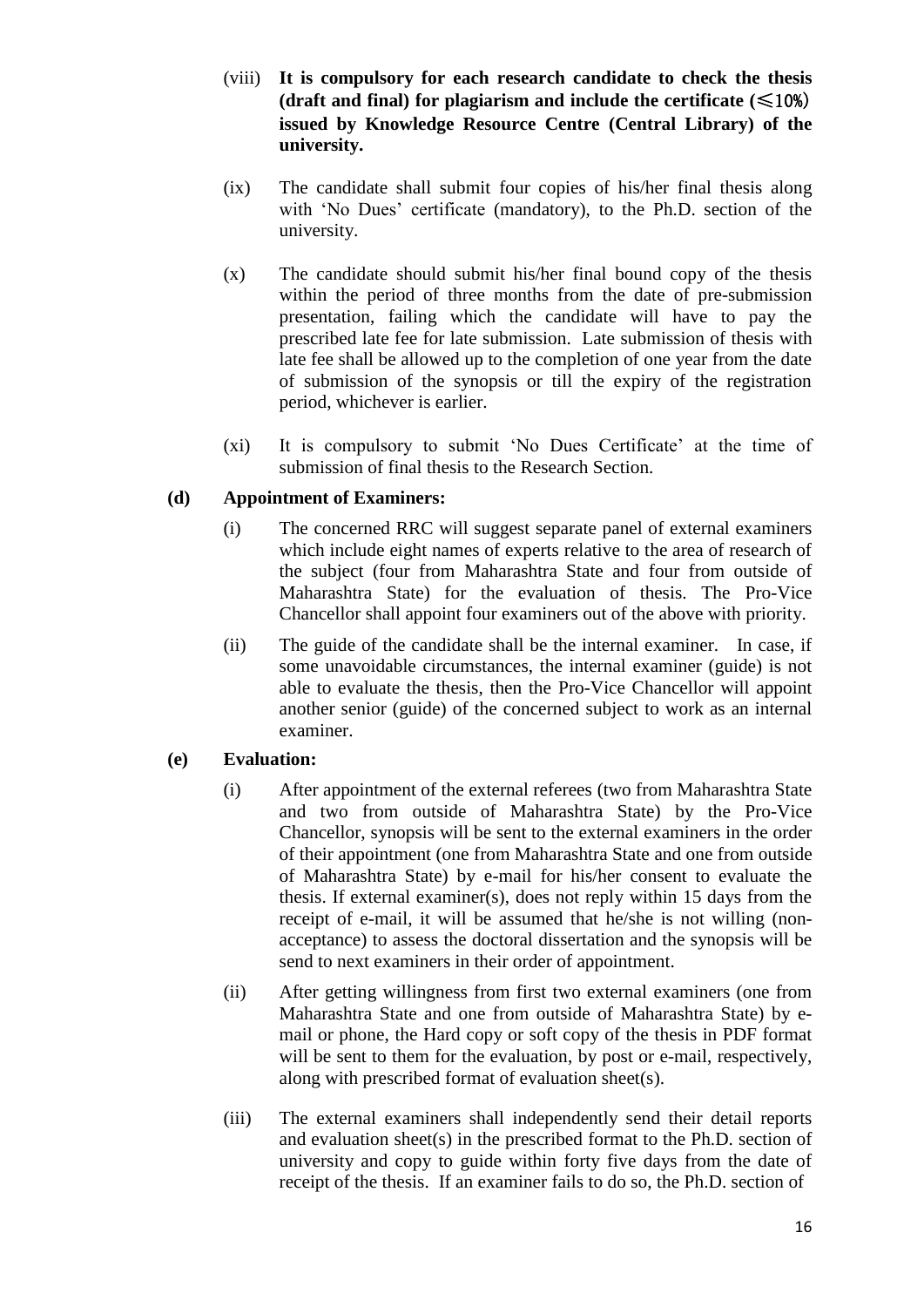- (viii) **It is compulsory for each research candidate to check the thesis (draft and final)** for plagiarism and include the certificate  $(\leq 10\%)$ **issued by Knowledge Resource Centre (Central Library) of the university.**
- (ix) The candidate shall submit four copies of his/her final thesis along with 'No Dues' certificate (mandatory), to the Ph.D. section of the university.
- (x) The candidate should submit his/her final bound copy of the thesis within the period of three months from the date of pre-submission presentation, failing which the candidate will have to pay the prescribed late fee for late submission. Late submission of thesis with late fee shall be allowed up to the completion of one year from the date of submission of the synopsis or till the expiry of the registration period, whichever is earlier.
- (xi) It is compulsory to submit 'No Dues Certificate' at the time of submission of final thesis to the Research Section.

#### **(d) Appointment of Examiners:**

- (i) The concerned RRC will suggest separate panel of external examiners which include eight names of experts relative to the area of research of the subject (four from Maharashtra State and four from outside of Maharashtra State) for the evaluation of thesis. The Pro-Vice Chancellor shall appoint four examiners out of the above with priority.
- (ii) The guide of the candidate shall be the internal examiner. In case, if some unavoidable circumstances, the internal examiner (guide) is not able to evaluate the thesis, then the Pro-Vice Chancellor will appoint another senior (guide) of the concerned subject to work as an internal examiner.

#### **(e) Evaluation:**

- (i) After appointment of the external referees (two from Maharashtra State and two from outside of Maharashtra State) by the Pro-Vice Chancellor, synopsis will be sent to the external examiners in the order of their appointment (one from Maharashtra State and one from outside of Maharashtra State) by e-mail for his/her consent to evaluate the thesis. If external examiner(s), does not reply within 15 days from the receipt of e-mail, it will be assumed that he/she is not willing (nonacceptance) to assess the doctoral dissertation and the synopsis will be send to next examiners in their order of appointment.
- (ii) After getting willingness from first two external examiners (one from Maharashtra State and one from outside of Maharashtra State) by email or phone, the Hard copy or soft copy of the thesis in PDF format will be sent to them for the evaluation, by post or e-mail, respectively, along with prescribed format of evaluation sheet(s).
- (iii) The external examiners shall independently send their detail reports and evaluation sheet(s) in the prescribed format to the Ph.D. section of university and copy to guide within forty five days from the date of receipt of the thesis. If an examiner fails to do so, the Ph.D. section of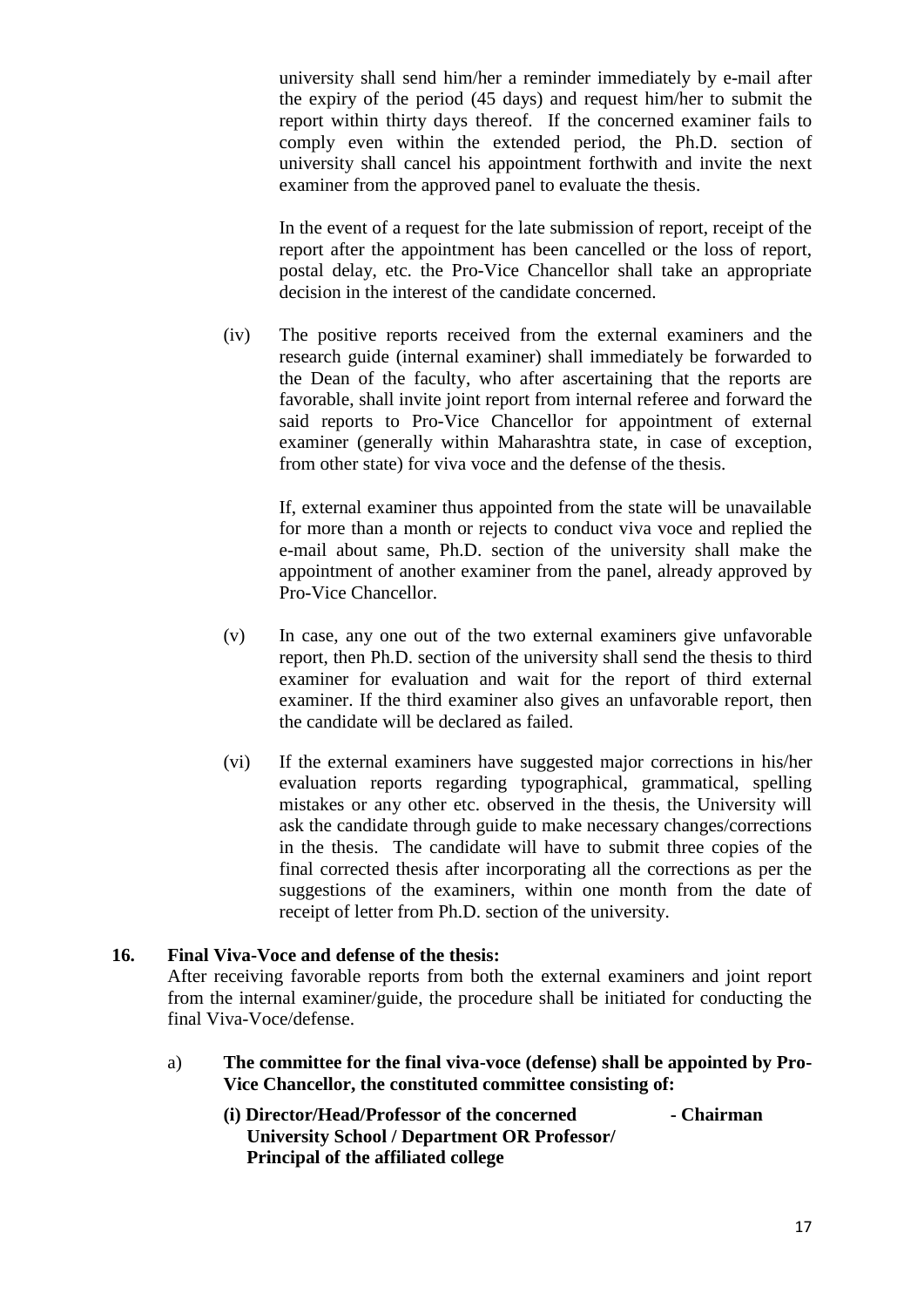university shall send him/her a reminder immediately by e-mail after the expiry of the period (45 days) and request him/her to submit the report within thirty days thereof. If the concerned examiner fails to comply even within the extended period, the Ph.D. section of university shall cancel his appointment forthwith and invite the next examiner from the approved panel to evaluate the thesis.

In the event of a request for the late submission of report, receipt of the report after the appointment has been cancelled or the loss of report, postal delay, etc. the Pro-Vice Chancellor shall take an appropriate decision in the interest of the candidate concerned.

(iv) The positive reports received from the external examiners and the research guide (internal examiner) shall immediately be forwarded to the Dean of the faculty, who after ascertaining that the reports are favorable, shall invite joint report from internal referee and forward the said reports to Pro-Vice Chancellor for appointment of external examiner (generally within Maharashtra state, in case of exception, from other state) for viva voce and the defense of the thesis.

If, external examiner thus appointed from the state will be unavailable for more than a month or rejects to conduct viva voce and replied the e-mail about same, Ph.D. section of the university shall make the appointment of another examiner from the panel, already approved by Pro-Vice Chancellor.

- (v) In case, any one out of the two external examiners give unfavorable report, then Ph.D. section of the university shall send the thesis to third examiner for evaluation and wait for the report of third external examiner. If the third examiner also gives an unfavorable report, then the candidate will be declared as failed.
- (vi) If the external examiners have suggested major corrections in his/her evaluation reports regarding typographical, grammatical, spelling mistakes or any other etc. observed in the thesis, the University will ask the candidate through guide to make necessary changes/corrections in the thesis. The candidate will have to submit three copies of the final corrected thesis after incorporating all the corrections as per the suggestions of the examiners, within one month from the date of receipt of letter from Ph.D. section of the university.

#### **16. Final Viva-Voce and defense of the thesis:**

After receiving favorable reports from both the external examiners and joint report from the internal examiner/guide, the procedure shall be initiated for conducting the final Viva-Voce/defense.

- a) **The committee for the final viva-voce (defense) shall be appointed by Pro-Vice Chancellor, the constituted committee consisting of:**
	- **(i) Director/Head/Professor of the concerned - Chairman University School / Department OR Professor/ Principal of the affiliated college**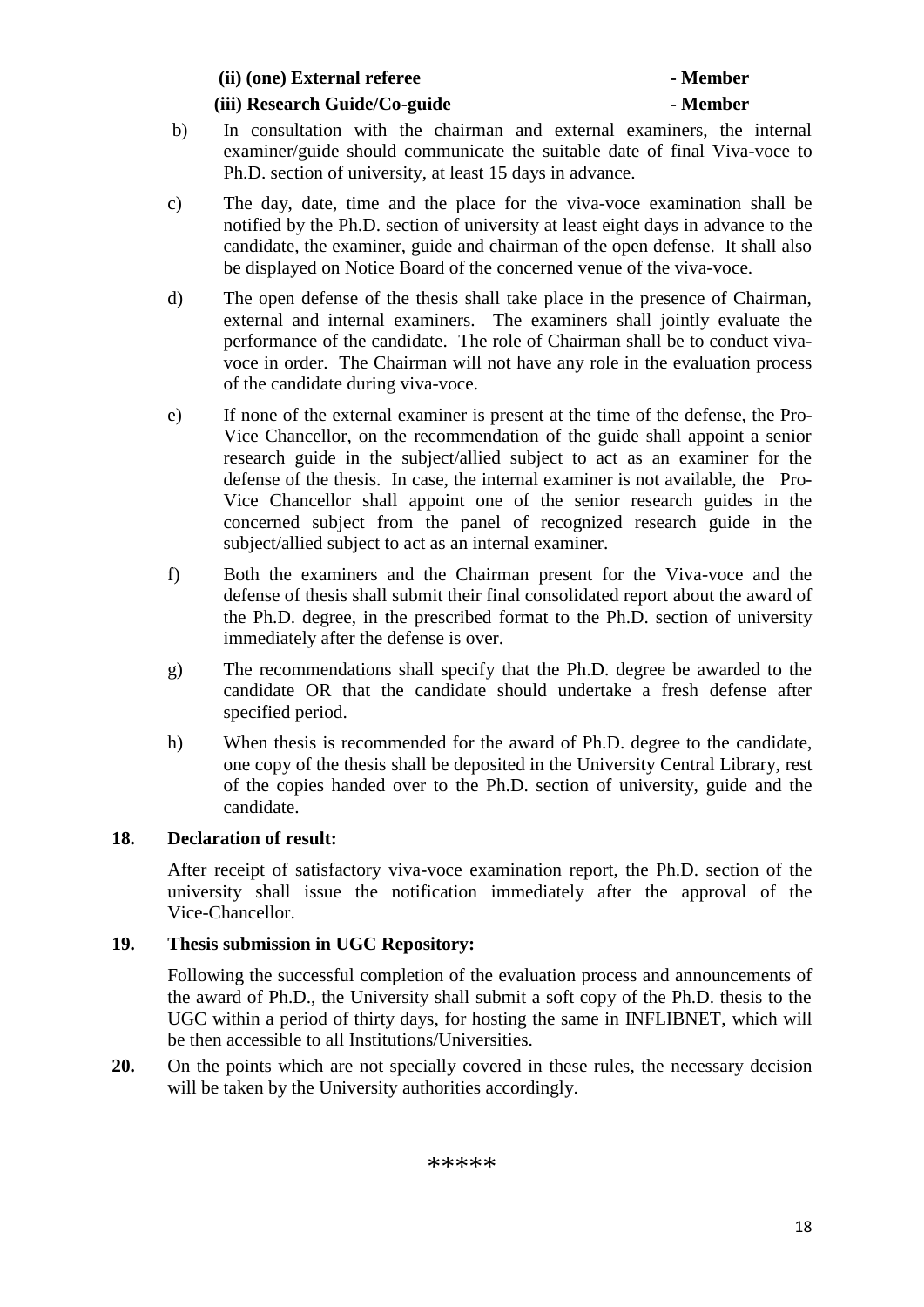**(ii) (one) External referee - Member**

#### **(iii) Research Guide/Co-guide - Member**

- b) In consultation with the chairman and external examiners, the internal examiner/guide should communicate the suitable date of final Viva-voce to Ph.D. section of university, at least 15 days in advance.
- c) The day, date, time and the place for the viva-voce examination shall be notified by the Ph.D. section of university at least eight days in advance to the candidate, the examiner, guide and chairman of the open defense. It shall also be displayed on Notice Board of the concerned venue of the viva-voce.
- d) The open defense of the thesis shall take place in the presence of Chairman, external and internal examiners. The examiners shall jointly evaluate the performance of the candidate. The role of Chairman shall be to conduct vivavoce in order. The Chairman will not have any role in the evaluation process of the candidate during viva-voce.
- e) If none of the external examiner is present at the time of the defense, the Pro-Vice Chancellor, on the recommendation of the guide shall appoint a senior research guide in the subject/allied subject to act as an examiner for the defense of the thesis. In case, the internal examiner is not available, the Pro-Vice Chancellor shall appoint one of the senior research guides in the concerned subject from the panel of recognized research guide in the subject/allied subject to act as an internal examiner.
- f) Both the examiners and the Chairman present for the Viva-voce and the defense of thesis shall submit their final consolidated report about the award of the Ph.D. degree, in the prescribed format to the Ph.D. section of university immediately after the defense is over.
- g) The recommendations shall specify that the Ph.D. degree be awarded to the candidate OR that the candidate should undertake a fresh defense after specified period.
- h) When thesis is recommended for the award of Ph.D. degree to the candidate, one copy of the thesis shall be deposited in the University Central Library, rest of the copies handed over to the Ph.D. section of university, guide and the candidate.

### **18. Declaration of result:**

After receipt of satisfactory viva-voce examination report, the Ph.D. section of the university shall issue the notification immediately after the approval of the Vice-Chancellor.

### **19. Thesis submission in UGC Repository:**

Following the successful completion of the evaluation process and announcements of the award of Ph.D., the University shall submit a soft copy of the Ph.D. thesis to the UGC within a period of thirty days, for hosting the same in INFLIBNET, which will be then accessible to all Institutions/Universities.

**20.** On the points which are not specially covered in these rules, the necessary decision will be taken by the University authorities accordingly.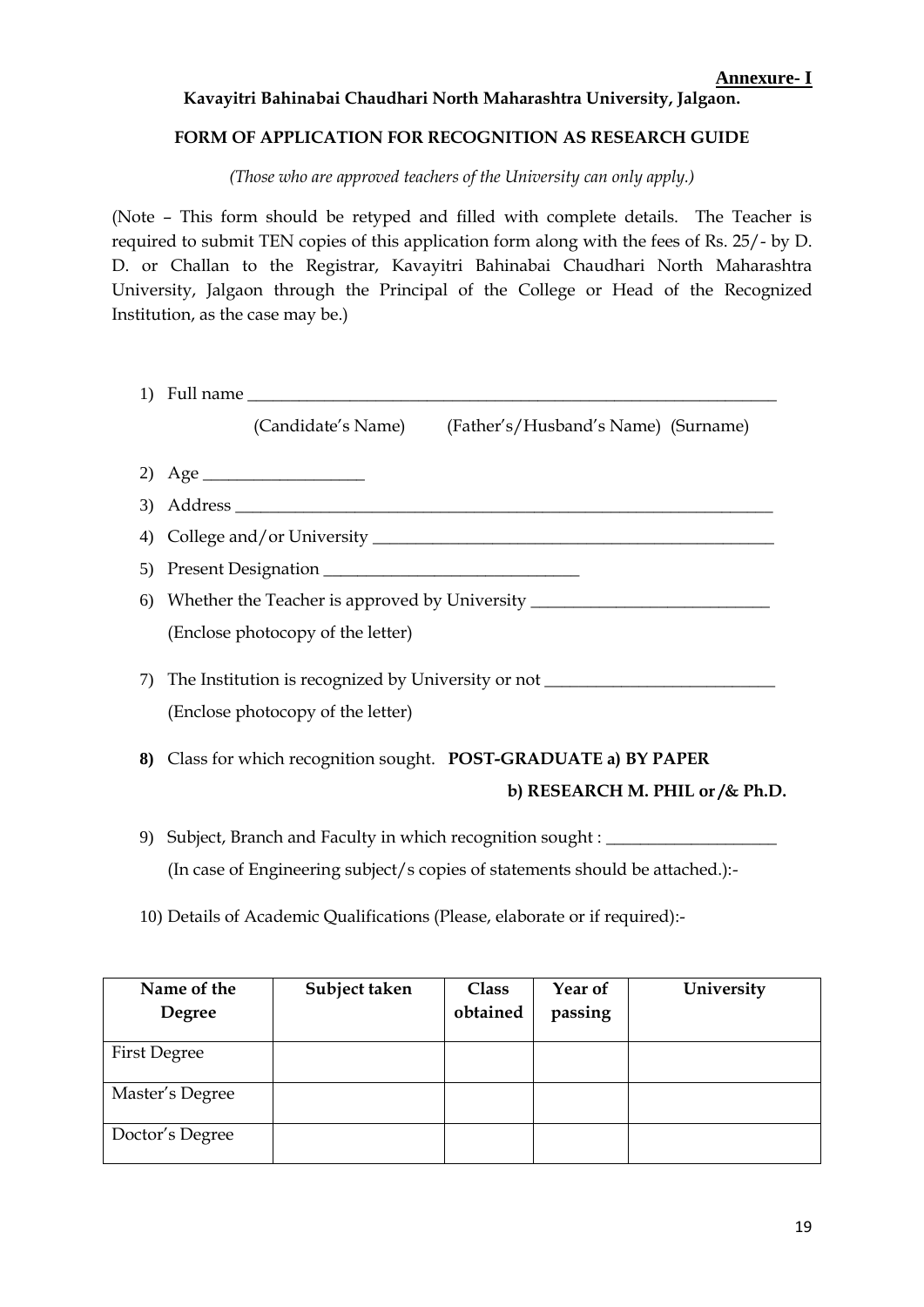#### **Kavayitri Bahinabai Chaudhari North Maharashtra University, Jalgaon.**

#### **FORM OF APPLICATION FOR RECOGNITION AS RESEARCH GUIDE**

*(Those who are approved teachers of the University can only apply.)*

(Note – This form should be retyped and filled with complete details. The Teacher is required to submit TEN copies of this application form along with the fees of Rs. 25/- by D. D. or Challan to the Registrar, Kavayitri Bahinabai Chaudhari North Maharashtra University, Jalgaon through the Principal of the College or Head of the Recognized Institution, as the case may be.)

| (Candidate's Name) (Father's/Husband's Name) (Surname)                           |
|----------------------------------------------------------------------------------|
|                                                                                  |
|                                                                                  |
|                                                                                  |
|                                                                                  |
| 6) Whether the Teacher is approved by University _______________________________ |
| (Enclose photocopy of the letter)                                                |
| 7) The Institution is recognized by University or not __________________________ |
| (Enclose photocopy of the letter)                                                |
| 8) Class for which recognition sought. POST-GRADUATE a) BY PAPER                 |
| b) RESEARCH M. PHIL or / & Ph.D.                                                 |
| 9) Subject, Branch and Faculty in which recognition sought : ___________________ |

(In case of Engineering subject/s copies of statements should be attached.):-

10) Details of Academic Qualifications (Please, elaborate or if required):-

| Name of the         | Subject taken | <b>Class</b> | Year of | University |
|---------------------|---------------|--------------|---------|------------|
| <b>Degree</b>       |               | obtained     | passing |            |
| <b>First Degree</b> |               |              |         |            |
| Master's Degree     |               |              |         |            |
| Doctor's Degree     |               |              |         |            |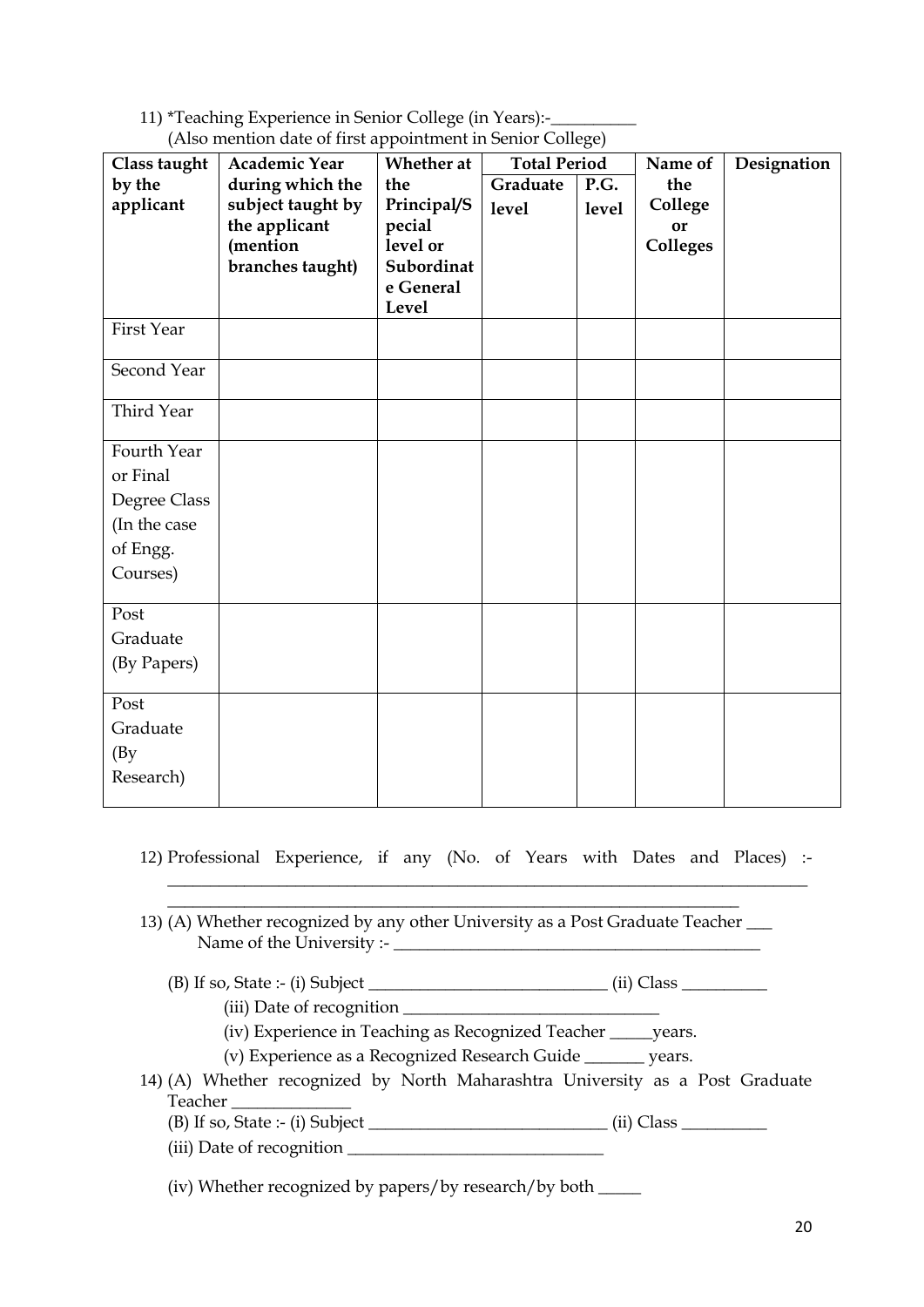11) \*Teaching Experience in Senior College (in Years):-\_

| Class taught | <b>Academic Year</b> | Whether at              | --- ---- 0-1<br><b>Total Period</b> |       | Name of         | Designation |
|--------------|----------------------|-------------------------|-------------------------------------|-------|-----------------|-------------|
| by the       | during which the     | the                     | Graduate                            | P.G.  | the             |             |
| applicant    | subject taught by    | Principal/S             | level                               | level | College         |             |
|              | the applicant        | pecial                  |                                     |       | <b>or</b>       |             |
|              | (mention             | level or                |                                     |       | <b>Colleges</b> |             |
|              | branches taught)     | Subordinat<br>e General |                                     |       |                 |             |
|              |                      | Level                   |                                     |       |                 |             |
| First Year   |                      |                         |                                     |       |                 |             |
|              |                      |                         |                                     |       |                 |             |
| Second Year  |                      |                         |                                     |       |                 |             |
| Third Year   |                      |                         |                                     |       |                 |             |
| Fourth Year  |                      |                         |                                     |       |                 |             |
| or Final     |                      |                         |                                     |       |                 |             |
| Degree Class |                      |                         |                                     |       |                 |             |
| (In the case |                      |                         |                                     |       |                 |             |
| of Engg.     |                      |                         |                                     |       |                 |             |
| Courses)     |                      |                         |                                     |       |                 |             |
|              |                      |                         |                                     |       |                 |             |
| Post         |                      |                         |                                     |       |                 |             |
| Graduate     |                      |                         |                                     |       |                 |             |
| (By Papers)  |                      |                         |                                     |       |                 |             |
| Post         |                      |                         |                                     |       |                 |             |
| Graduate     |                      |                         |                                     |       |                 |             |
| (By)         |                      |                         |                                     |       |                 |             |
| Research)    |                      |                         |                                     |       |                 |             |
|              |                      |                         |                                     |       |                 |             |

(Also mention date of first appointment in Senior College)

- 12) Professional Experience, if any (No. of Years with Dates and Places) :- \_\_\_\_\_\_\_\_\_\_\_\_\_\_\_\_\_\_\_\_\_\_\_\_\_\_\_\_\_\_\_\_\_\_\_\_\_\_\_\_\_\_\_\_\_\_\_\_\_\_\_\_\_\_\_\_\_\_\_\_\_\_\_\_\_\_\_\_\_\_\_\_\_\_\_
- \_\_\_\_\_\_\_\_\_\_\_\_\_\_\_\_\_\_\_\_\_\_\_\_\_\_\_\_\_\_\_\_\_\_\_\_\_\_\_\_\_\_\_\_\_\_\_\_\_\_\_\_\_\_\_\_\_\_\_\_\_\_\_\_\_\_\_ 13) (A) Whether recognized by any other University as a Post Graduate Teacher \_\_\_ Name of the University :- \_\_\_\_\_\_\_\_\_\_\_\_\_\_\_\_\_\_\_\_\_\_\_\_\_\_\_\_\_\_\_\_\_\_\_\_\_\_\_\_\_\_\_
	- (B) If so, State :- (i) Subject \_\_\_\_\_\_\_\_\_\_\_\_\_\_\_\_\_\_\_\_\_\_\_\_\_\_\_\_ (ii) Class \_\_\_\_\_\_\_\_\_\_
		- (iii) Date of recognition \_\_\_\_\_\_\_\_\_\_\_\_\_\_\_\_\_\_\_\_\_\_\_\_\_\_\_\_\_\_
		- (iv) Experience in Teaching as Recognized Teacher \_\_\_\_\_years.
		- (v) Experience as a Recognized Research Guide \_\_\_\_\_\_\_ years.
- 14) (A) Whether recognized by North Maharashtra University as a Post Graduate Teacher \_\_\_\_\_\_\_\_\_\_\_\_\_\_
	- $(B)$  If so, State :- (i) Subject  $\frac{1}{\sqrt{1-\frac{1}{2}}}\$  (ii) Class  $\frac{1}{\sqrt{1-\frac{1}{2}}}\$
	- (iii) Date of recognition \_\_\_\_\_\_\_\_\_\_\_\_\_\_\_\_\_\_\_\_\_\_\_\_\_\_\_\_\_\_
	- (iv) Whether recognized by papers/by research/by both \_\_\_\_\_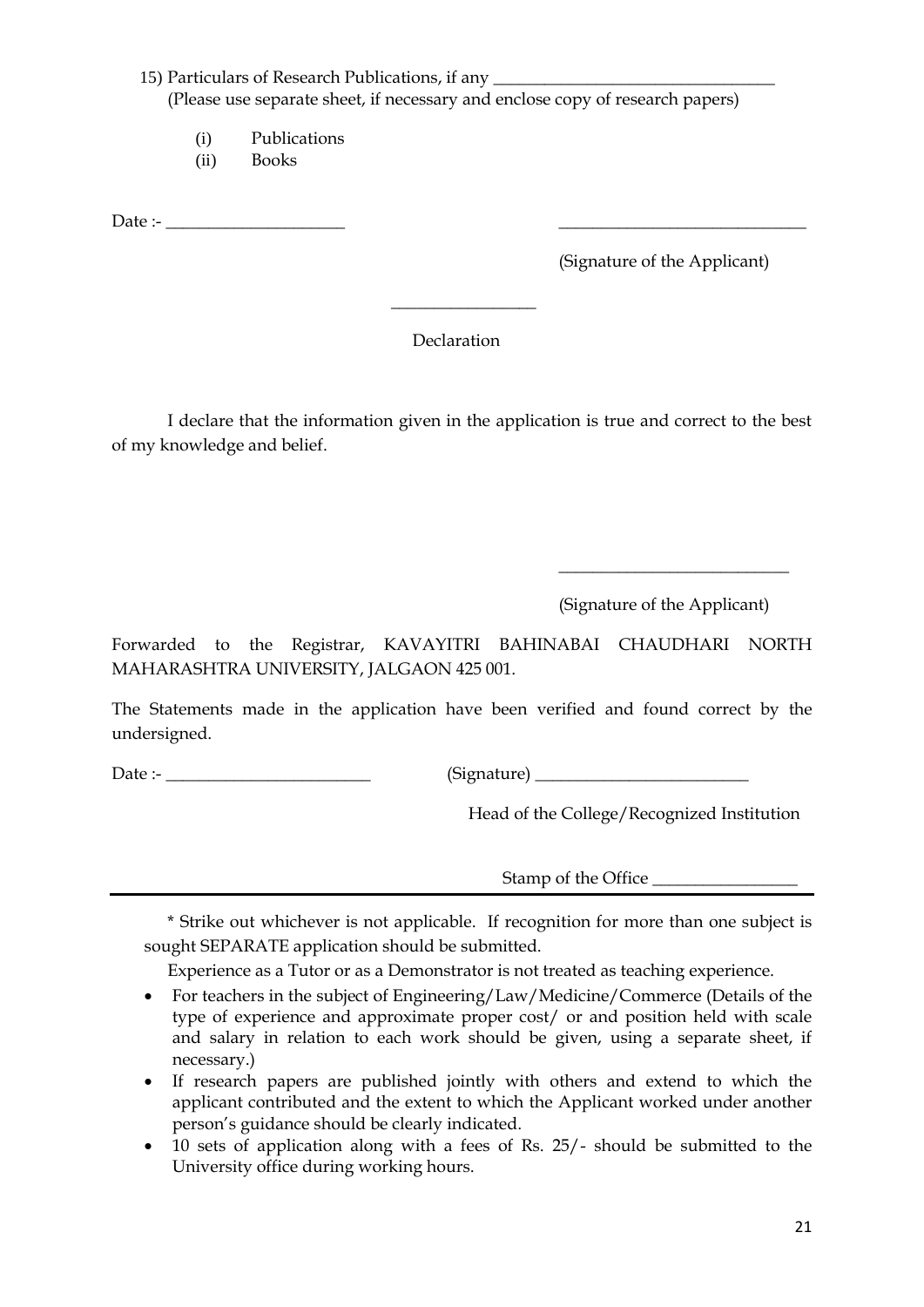#### 15) Particulars of Research Publications, if any (Please use separate sheet, if necessary and enclose copy of research papers)

- (i) Publications
- (ii) Books

Date :- \_\_\_\_\_\_\_\_\_\_\_\_\_\_\_\_\_\_\_\_\_ \_\_\_\_\_\_\_\_\_\_\_\_\_\_\_\_\_\_\_\_\_\_\_\_\_\_\_\_\_

(Signature of the Applicant)

#### Declaration

 $\overline{\phantom{a}}$  , where  $\overline{\phantom{a}}$ 

I declare that the information given in the application is true and correct to the best of my knowledge and belief.

(Signature of the Applicant)

 $\overline{\phantom{a}}$  , where  $\overline{\phantom{a}}$  , where  $\overline{\phantom{a}}$  , where  $\overline{\phantom{a}}$ 

Forwarded to the Registrar, KAVAYITRI BAHINABAI CHAUDHARI NORTH MAHARASHTRA UNIVERSITY, JALGAON 425 001.

The Statements made in the application have been verified and found correct by the undersigned.

Date :- \_\_\_\_\_\_\_\_\_\_\_\_\_\_\_\_\_\_\_\_\_\_\_\_ (Signature) \_\_\_\_\_\_\_\_\_\_\_\_\_\_\_\_\_\_\_\_\_\_\_\_\_

Head of the College/Recognized Institution

Stamp of the Office

\* Strike out whichever is not applicable. If recognition for more than one subject is sought SEPARATE application should be submitted.

Experience as a Tutor or as a Demonstrator is not treated as teaching experience.

- For teachers in the subject of Engineering/Law/Medicine/Commerce (Details of the type of experience and approximate proper cost/ or and position held with scale and salary in relation to each work should be given, using a separate sheet, if necessary.)
- If research papers are published jointly with others and extend to which the applicant contributed and the extent to which the Applicant worked under another person's guidance should be clearly indicated.
- 10 sets of application along with a fees of Rs. 25/- should be submitted to the University office during working hours.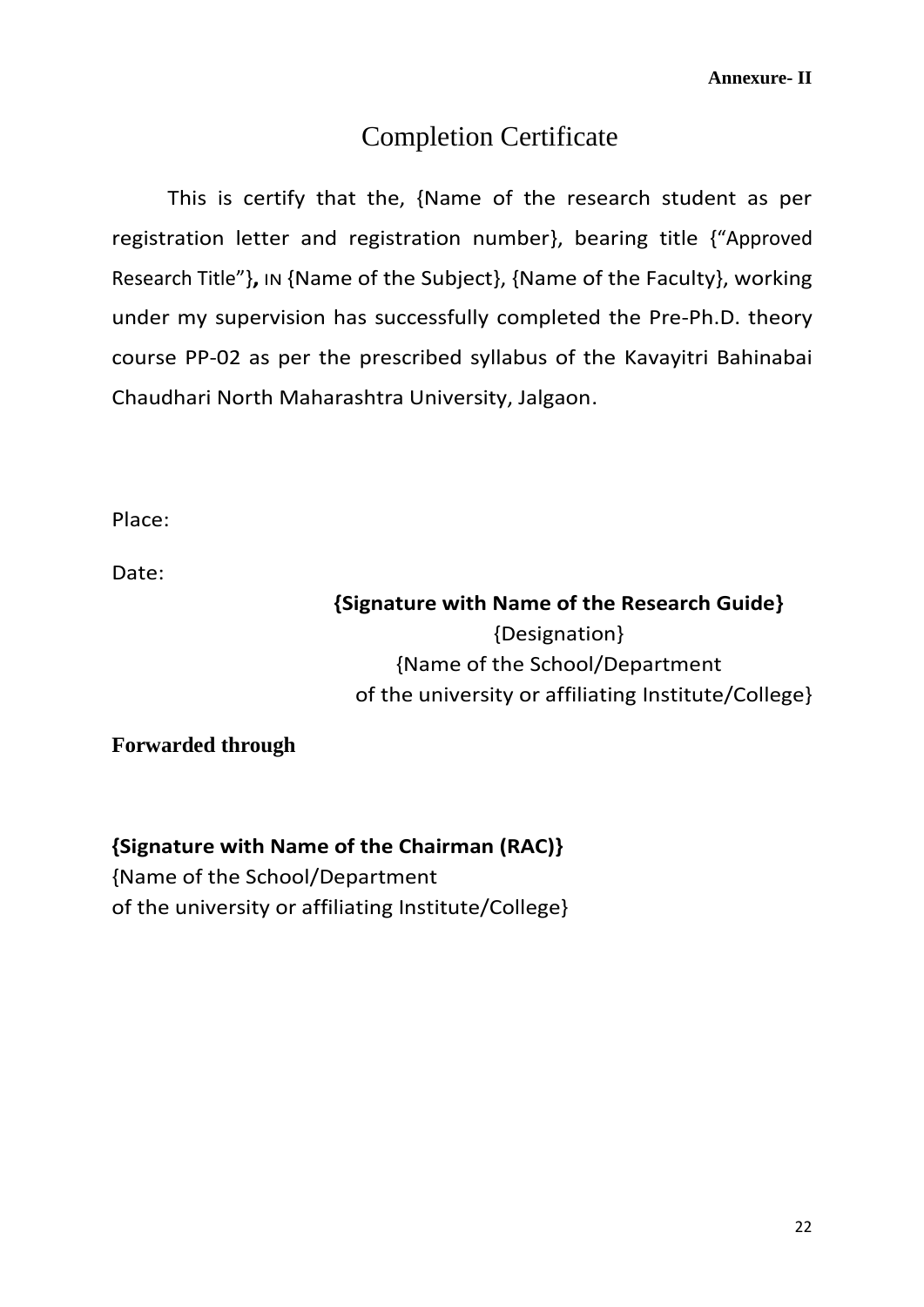## Completion Certificate

This is certify that the, {Name of the research student as per registration letter and registration number}, bearing title {"Approved Research Title"}**,** IN {Name of the Subject}, {Name of the Faculty}, working under my supervision has successfully completed the Pre-Ph.D. theory course PP-02 as per the prescribed syllabus of the Kavayitri Bahinabai Chaudhari North Maharashtra University, Jalgaon.

Place:

Date:

## **{Signature with Name of the Research Guide}** {Designation} {Name of the School/Department of the university or affiliating Institute/College}

**Forwarded through**

**{Signature with Name of the Chairman (RAC)}** {Name of the School/Department of the university or affiliating Institute/College}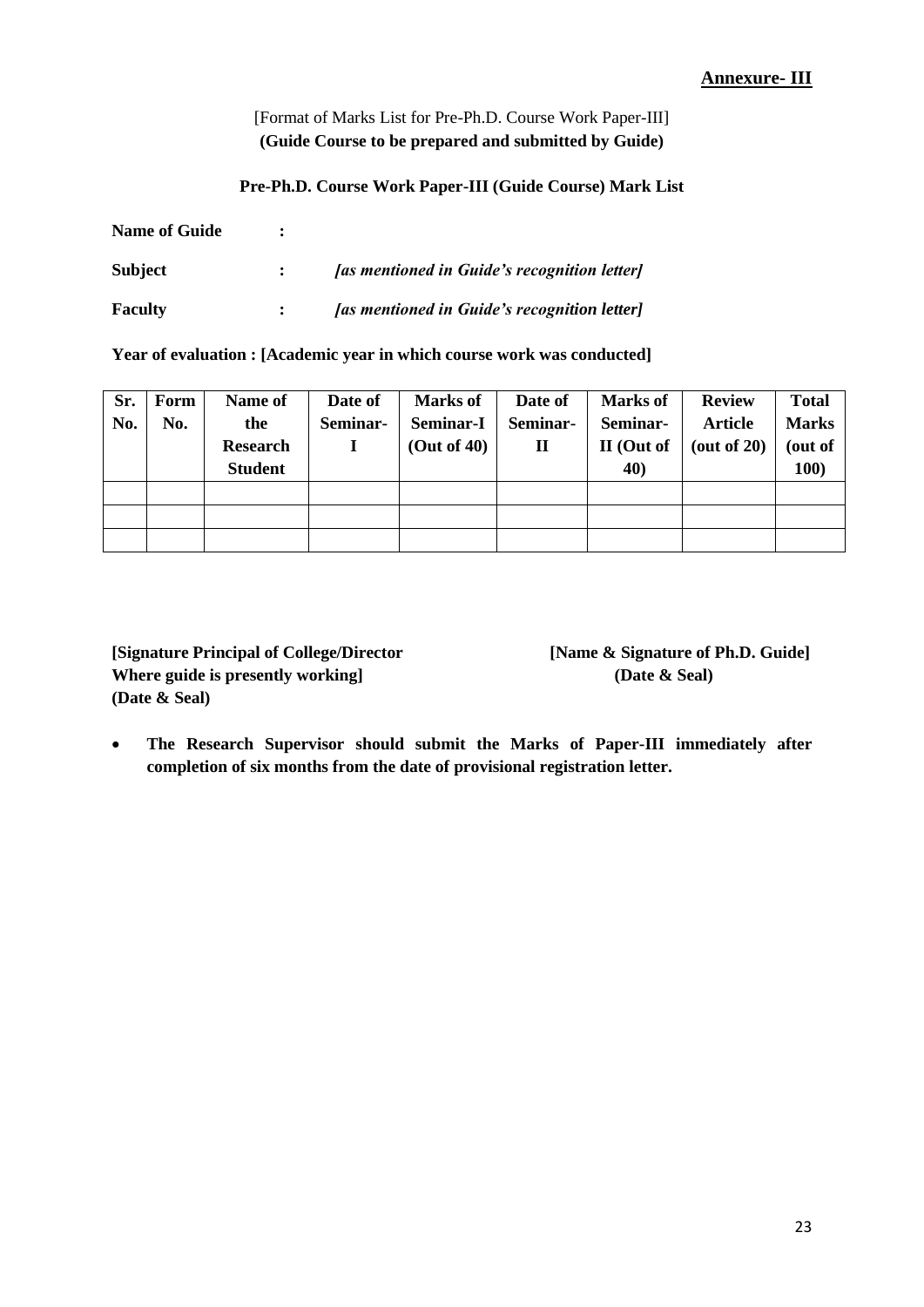#### **Annexure- III**

[Format of Marks List for Pre-Ph.D. Course Work Paper-III] **(Guide Course to be prepared and submitted by Guide)**

#### **Pre-Ph.D. Course Work Paper-III (Guide Course) Mark List**

| <b>Name of Guide</b> |                                              |
|----------------------|----------------------------------------------|
| Subject              | [as mentioned in Guide's recognition letter] |
| <b>Faculty</b>       | [as mentioned in Guide's recognition letter] |

**Year of evaluation : [Academic year in which course work was conducted]**

| Sr.<br>No. | Form<br>No. | Name of<br>the<br><b>Research</b><br><b>Student</b> | Date of<br>Seminar- | <b>Marks of</b><br><b>Seminar-I</b><br>(Out of 40) | Date of<br>Seminar-<br>П | <b>Marks of</b><br>Seminar-<br>II (Out of<br>40) | <b>Review</b><br><b>Article</b><br>(out of 20) | <b>Total</b><br><b>Marks</b><br>(out of<br>100) |
|------------|-------------|-----------------------------------------------------|---------------------|----------------------------------------------------|--------------------------|--------------------------------------------------|------------------------------------------------|-------------------------------------------------|
|            |             |                                                     |                     |                                                    |                          |                                                  |                                                |                                                 |
|            |             |                                                     |                     |                                                    |                          |                                                  |                                                |                                                 |
|            |             |                                                     |                     |                                                    |                          |                                                  |                                                |                                                 |

**[Signature Principal of College/Director [Name & Signature of Ph.D. Guide] Where guide is presently working] (Date & Seal) (Date & Seal)**

 **The Research Supervisor should submit the Marks of Paper-III immediately after completion of six months from the date of provisional registration letter.**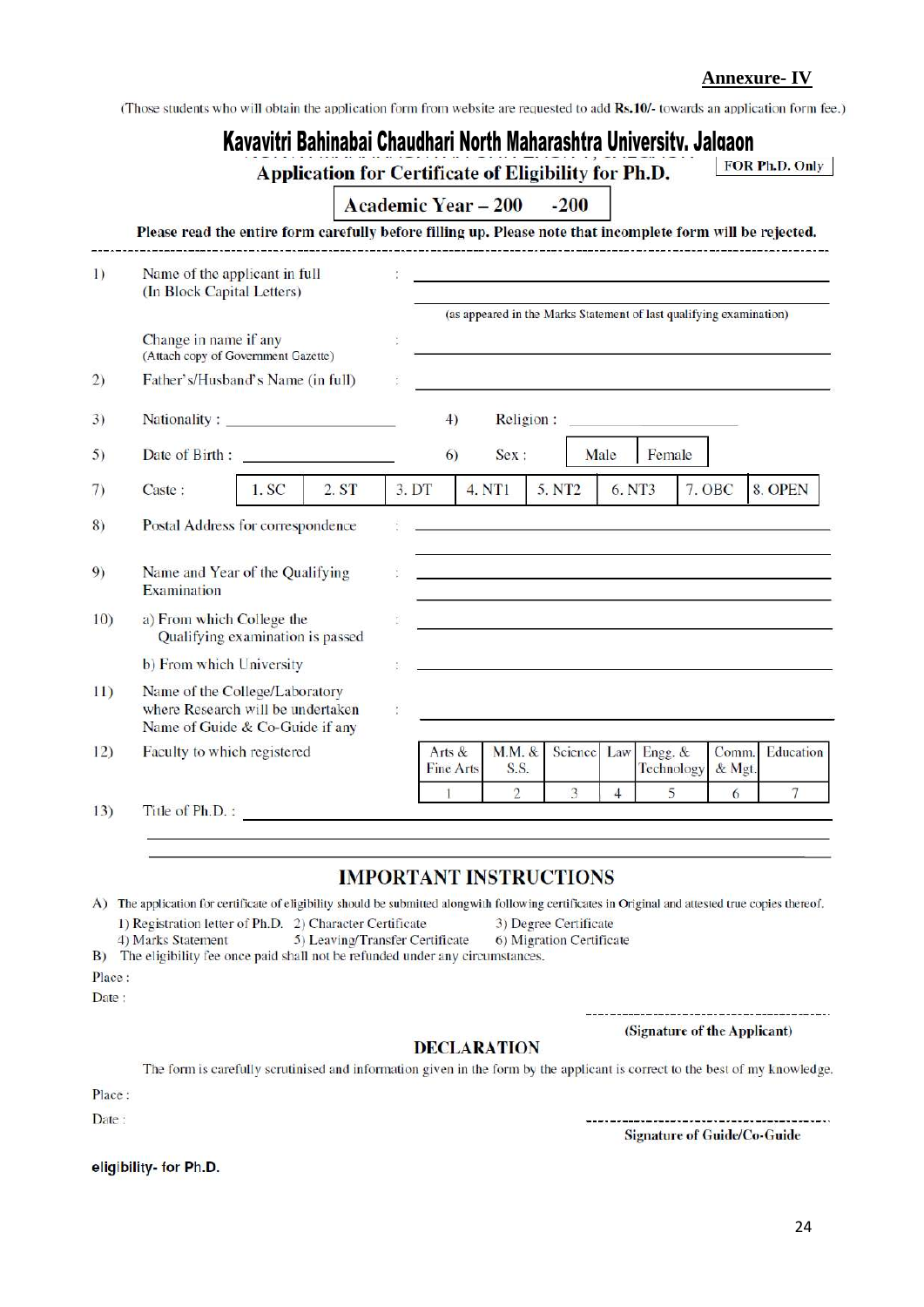**Annexure- IV**

(Those students who will obtain the application form from website are requested to add Rs.10/- towards an application form fee.)

|         |                                                                                                             |         | Kavavitri Bahinabai Chaudhari North Maharashtra University. Jalgaon<br>Application for Certificate of Eligibility for Ph.D. |       |                            |        |                |                    |                |                                                                                                                           |                 | FOR Ph.D. Only |
|---------|-------------------------------------------------------------------------------------------------------------|---------|-----------------------------------------------------------------------------------------------------------------------------|-------|----------------------------|--------|----------------|--------------------|----------------|---------------------------------------------------------------------------------------------------------------------------|-----------------|----------------|
|         |                                                                                                             |         |                                                                                                                             |       | <b>Academic Year - 200</b> |        |                | $-200$             |                |                                                                                                                           |                 |                |
|         | Please read the entire form carefully before filling up. Please note that incomplete form will be rejected. |         |                                                                                                                             |       |                            |        |                |                    |                |                                                                                                                           |                 |                |
| $\vert$ | Name of the applicant in full<br>(In Block Capital Letters)                                                 |         |                                                                                                                             |       |                            |        |                |                    |                | <u> 1989 - Johann John Stone, markin fizikar (</u><br>(as appeared in the Marks Statement of last qualifying examination) |                 |                |
|         | Change in name if any<br>(Attach copy of Government Gazette)                                                |         |                                                                                                                             |       |                            |        |                |                    |                |                                                                                                                           |                 |                |
| 2)      | Father's/Husband's Name (in full)                                                                           |         |                                                                                                                             |       |                            |        |                |                    |                |                                                                                                                           |                 |                |
| 3)      | Nationality:                                                                                                |         |                                                                                                                             |       | 4)                         |        | Religion:      |                    |                |                                                                                                                           |                 |                |
| 5)      | Date of Birth:                                                                                              |         |                                                                                                                             |       | 6)                         |        | Sex:           |                    | Male           | Female                                                                                                                    |                 |                |
| 7)      | Caste:                                                                                                      | $1.$ SC | 2. ST                                                                                                                       | 3. DT |                            | 4. NT1 |                | 5. NT <sub>2</sub> | 6. NT3         |                                                                                                                           | 7. OBC          | 8. OPEN        |
| 8)      | Postal Address for correspondence                                                                           |         |                                                                                                                             |       |                            |        |                |                    |                |                                                                                                                           |                 |                |
| 9)      | Name and Year of the Qualifying<br>Examination                                                              |         |                                                                                                                             |       |                            |        |                |                    |                |                                                                                                                           |                 |                |
| 10)     | a) From which College the<br>Qualifying examination is passed                                               |         |                                                                                                                             |       |                            |        |                |                    |                | and the state of the state of the state of the state of the state of the state of the state of the state of the           |                 |                |
|         | b) From which University                                                                                    |         |                                                                                                                             |       |                            |        |                |                    |                |                                                                                                                           |                 |                |
| 11)     | Name of the College/Laboratory<br>where Research will be undertaken<br>Name of Guide & Co-Guide if any      |         |                                                                                                                             | ÷     |                            |        |                |                    |                |                                                                                                                           |                 |                |
| 12)     | Faculty to which registered                                                                                 |         |                                                                                                                             |       | Arts &<br>Fine Arts        |        | M.M. &<br>S.S. | Science            | Law            | Engg. &<br>Technology                                                                                                     | Comm.<br>& Mgt. | Education      |
| 13)     | Title of Ph.D.:                                                                                             |         |                                                                                                                             |       |                            |        | $\overline{2}$ | 3                  | $\overline{4}$ | 5                                                                                                                         | 6               | 7              |

#### **IMPORTANT INSTRUCTIONS**

A) The application for certificate of eligibility should be submitted alongwith following certificates in Original and attested true copies thereof. 1) Registration letter of Ph.D. 2) Character Certificate 3) Degree Certificate 4) Marks Statement 5) Leaving/Transfer Certificate 6) Migration Certificate

B) The eligibility fee once paid shall not be refunded under any circumstances.

Place:

Date:

#### **DECLARATION**

The form is carefully scrutinised and information given in the form by the applicant is correct to the best of my knowledge.

Place:

Date:

eligibility- for Ph.D.

**Signature of Guide/Co-Guide** 

-------------------------------

(Signature of the Applicant)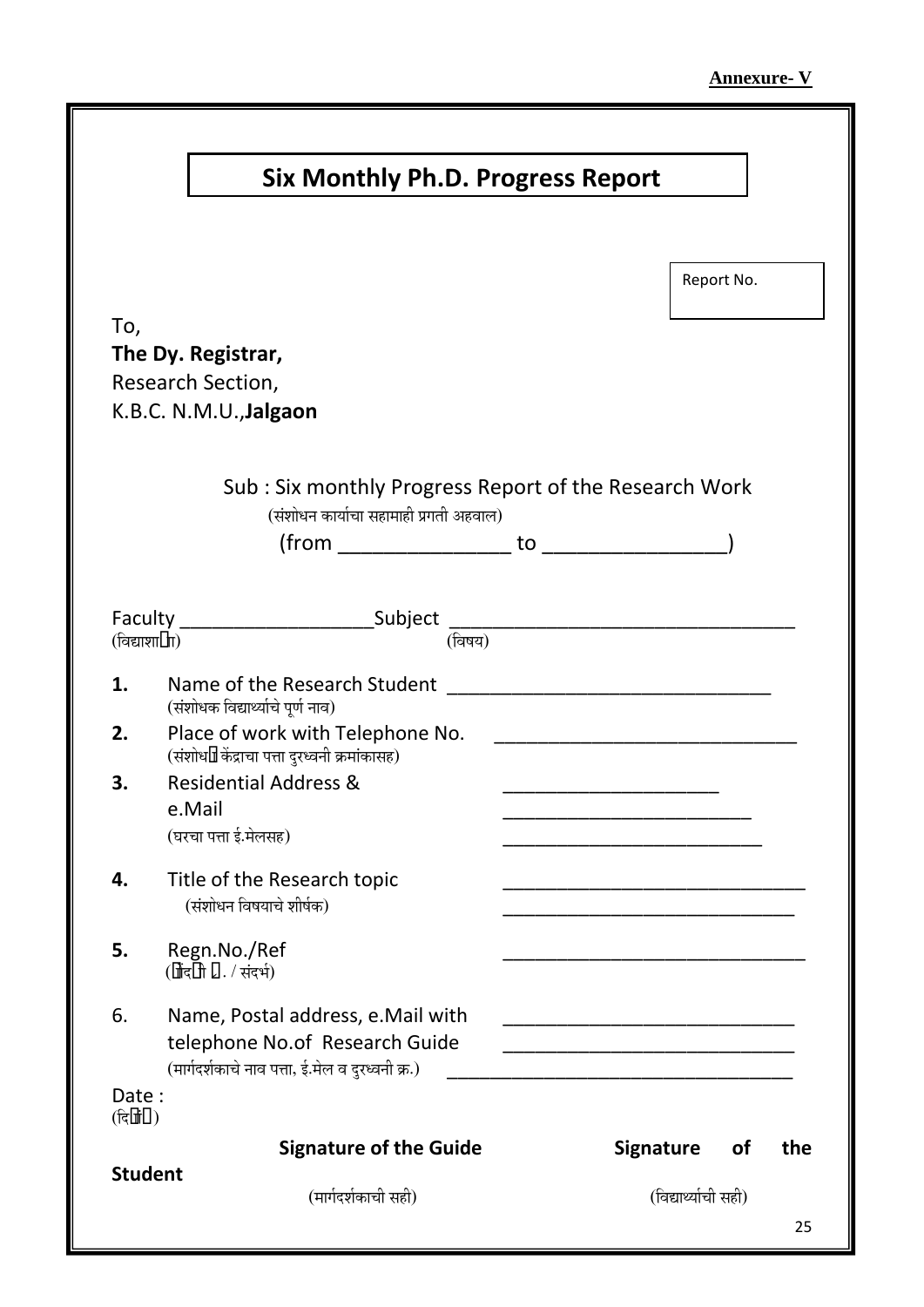| Report No.<br>Sub: Six monthly Progress Report of the Research Work<br>(संशोधन कार्याचा सहामाही प्रगती अहवाल)<br>$from$ to $\qquad \qquad \text{to}$<br>(विषय)<br>(संशोधक विद्यार्थ्याचे पूर्ण नाव)<br>Place of work with Telephone No.<br><u> 1989 - Johann Stoff, mars et al. (</u><br>(संशोधन केंद्राचा पत्ता दुरध्वनी क्रमांकांसह)<br><b>Residential Address &amp;</b><br>e.Mail<br>(घरचा पत्ता ई.मेलसह)<br>Title of the Research topic<br>(संशोधन विषयाचे शीर्षक)<br>Regn.No./Ref<br>(नोंदगी ?. / संदर्भ)<br>Name, Postal address, e. Mail with<br><u> 1990 - Johann John Harry Harry Harry Harry Harry Harry Harry Harry Harry Harry Harry Harry Harry Harry Harry</u><br>telephone No.of Research Guide<br>(मार्गदर्शकाचे नाव पत्ता, ई.मेल व दुरध्वनी क्र.)<br><b>Signature of the Guide</b><br><b>Signature</b><br><b>of</b><br>(विद्यार्थ्याची सही)<br>(मार्गदर्शकाची सही) |  | <b>Six Monthly Ph.D. Progress Report</b> |  |
|-------------------------------------------------------------------------------------------------------------------------------------------------------------------------------------------------------------------------------------------------------------------------------------------------------------------------------------------------------------------------------------------------------------------------------------------------------------------------------------------------------------------------------------------------------------------------------------------------------------------------------------------------------------------------------------------------------------------------------------------------------------------------------------------------------------------------------------------------------------------------------------|--|------------------------------------------|--|
| the                                                                                                                                                                                                                                                                                                                                                                                                                                                                                                                                                                                                                                                                                                                                                                                                                                                                                 |  |                                          |  |
| To,                                                                                                                                                                                                                                                                                                                                                                                                                                                                                                                                                                                                                                                                                                                                                                                                                                                                                 |  |                                          |  |
| The Dy. Registrar,<br>Research Section,<br>K.B.C. N.M.U., Jalgaon<br>Faculty ______________________________Subject __________________________________<br>(विद्याशा•ाा)                                                                                                                                                                                                                                                                                                                                                                                                                                                                                                                                                                                                                                                                                                              |  |                                          |  |
|                                                                                                                                                                                                                                                                                                                                                                                                                                                                                                                                                                                                                                                                                                                                                                                                                                                                                     |  |                                          |  |
|                                                                                                                                                                                                                                                                                                                                                                                                                                                                                                                                                                                                                                                                                                                                                                                                                                                                                     |  |                                          |  |
|                                                                                                                                                                                                                                                                                                                                                                                                                                                                                                                                                                                                                                                                                                                                                                                                                                                                                     |  |                                          |  |
|                                                                                                                                                                                                                                                                                                                                                                                                                                                                                                                                                                                                                                                                                                                                                                                                                                                                                     |  |                                          |  |
|                                                                                                                                                                                                                                                                                                                                                                                                                                                                                                                                                                                                                                                                                                                                                                                                                                                                                     |  |                                          |  |
| 1.<br>2.                                                                                                                                                                                                                                                                                                                                                                                                                                                                                                                                                                                                                                                                                                                                                                                                                                                                            |  |                                          |  |
|                                                                                                                                                                                                                                                                                                                                                                                                                                                                                                                                                                                                                                                                                                                                                                                                                                                                                     |  |                                          |  |
| 3.<br>4.<br>5.<br>6.<br>Date:<br>(दिनां•)<br><b>Student</b>                                                                                                                                                                                                                                                                                                                                                                                                                                                                                                                                                                                                                                                                                                                                                                                                                         |  |                                          |  |
|                                                                                                                                                                                                                                                                                                                                                                                                                                                                                                                                                                                                                                                                                                                                                                                                                                                                                     |  |                                          |  |
|                                                                                                                                                                                                                                                                                                                                                                                                                                                                                                                                                                                                                                                                                                                                                                                                                                                                                     |  |                                          |  |
|                                                                                                                                                                                                                                                                                                                                                                                                                                                                                                                                                                                                                                                                                                                                                                                                                                                                                     |  |                                          |  |
|                                                                                                                                                                                                                                                                                                                                                                                                                                                                                                                                                                                                                                                                                                                                                                                                                                                                                     |  |                                          |  |
|                                                                                                                                                                                                                                                                                                                                                                                                                                                                                                                                                                                                                                                                                                                                                                                                                                                                                     |  |                                          |  |
|                                                                                                                                                                                                                                                                                                                                                                                                                                                                                                                                                                                                                                                                                                                                                                                                                                                                                     |  |                                          |  |
|                                                                                                                                                                                                                                                                                                                                                                                                                                                                                                                                                                                                                                                                                                                                                                                                                                                                                     |  |                                          |  |
|                                                                                                                                                                                                                                                                                                                                                                                                                                                                                                                                                                                                                                                                                                                                                                                                                                                                                     |  |                                          |  |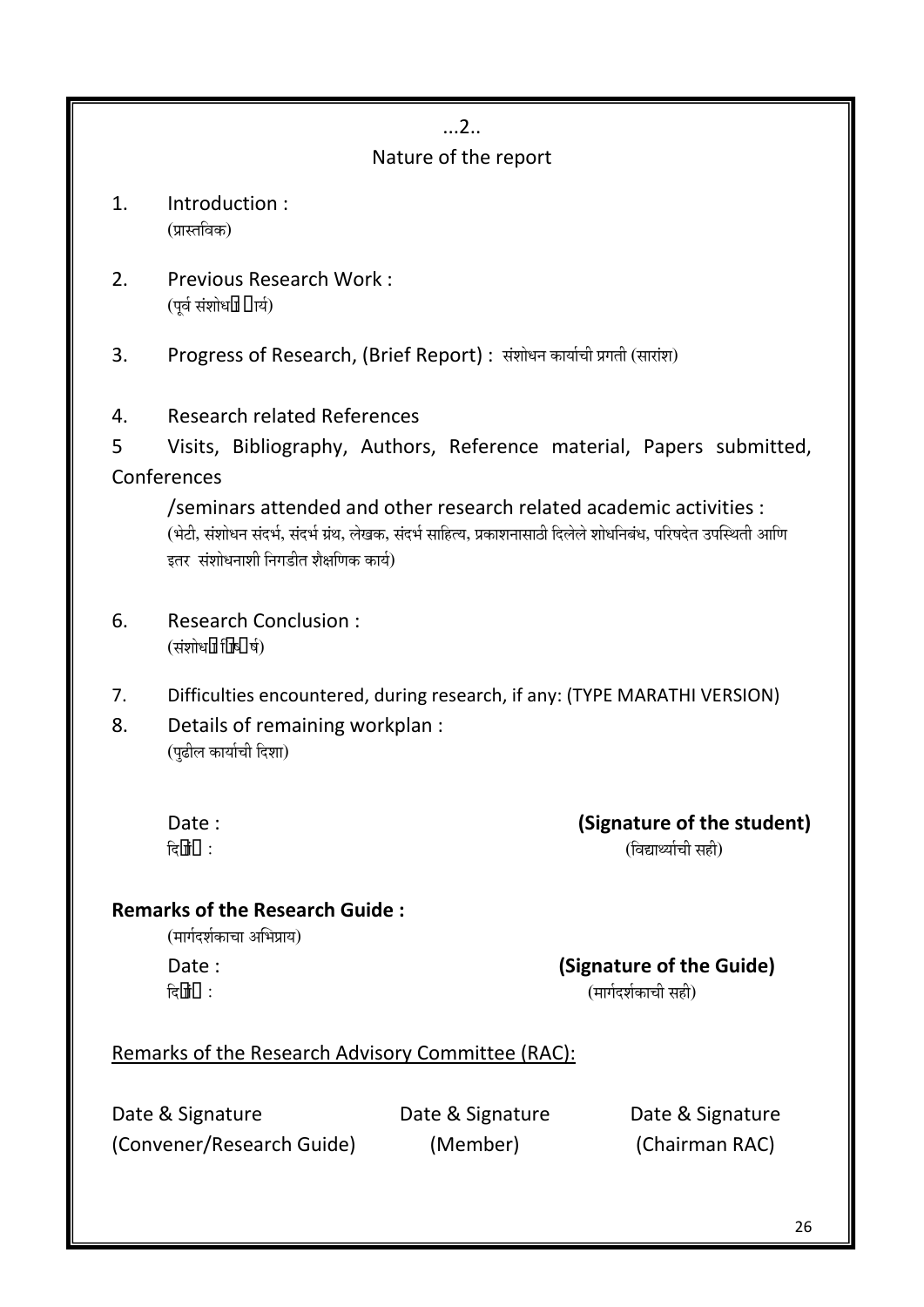### ...2..

### Nature of the report

- 1. Introduction : (प्रास्तविक)
- 2. Previous Research Work : (पर्व संशोधन •ार्य)
- 3. Progress of Research, (Brief Report) : संशोधन कार्याची प्रगती (सारांश)
- 4. Research related References
- 5 Visits, Bibliography, Authors, Reference material, Papers submitted, Conferences

/seminars attended and other research related academic activities : (भेटी, संशोधन संदर्भ, संदर्भ ग्रंथ, लेखक, संदर्भ साहित्य, प्रकाशनासाठी दिलेले शोधनिबंध, परिषदेत उपस्थिती आणि इतर संशोधनाशी निगडीत शैक्षणिक कार्य)

- 6. Research Conclusion : (संशोधन निष्●र्ष)
- 7. Difficulties encountered, during research, if any: (TYPE MARATHI VERSION)
- 8. Details of remaining workplan : (पुढील कार्याची दिशा)

Date : **Contract Contract Contract Contract Contract Contract Contract Contract Contract Contract Contract Contract Contract Contract Contract Contract Contract Contract Contract Contract Contract Contract Contract Contrac**  $\overline{G}$ नां $\bullet$ :

### **Remarks of the Research Guide :**

(मार्गदर्शकाचा अभिप्राय)

### Date : **Contract Contract Contract Contract Contract Contract Contract Contract Contract Contract Contract Contract Contract Contract Contract Contract Contract Contract Contract Contract Contract Contract Contract Contrac** פü-ÖÖÓ•ú :(´ÖÖÖÔ¤ü¿ÖÔúÖ"Öß ÃÖÆüß)

### Remarks of the Research Advisory Committee (RAC):

Date & Signature **Date & Signature** Date & Signature (Convener/Research Guide) (Member) (Chairman RAC)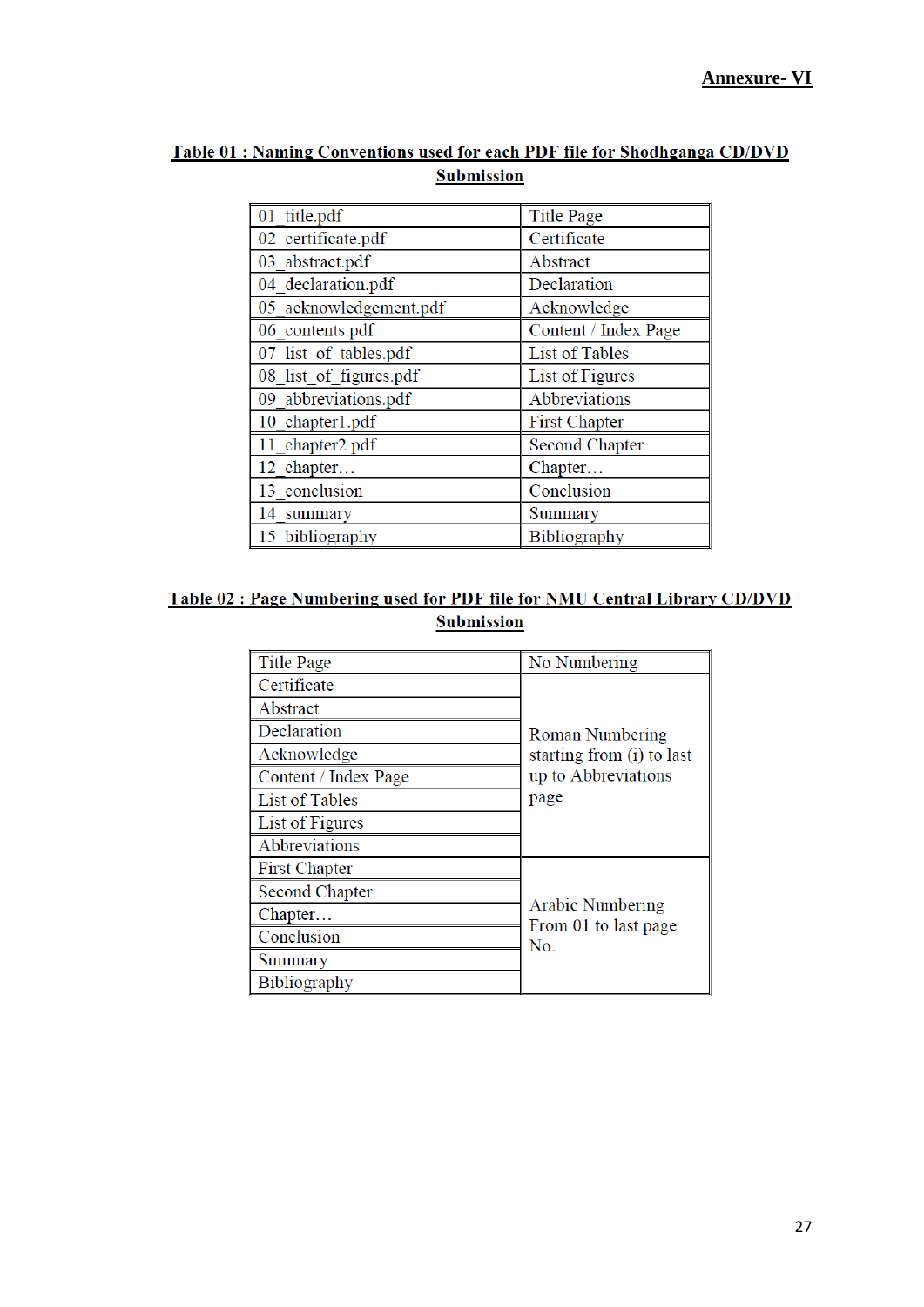| 01 title.pdf           | <b>Title Page</b>     |  |  |
|------------------------|-----------------------|--|--|
| 02 certificate.pdf     | Certificate           |  |  |
| 03 abstract.pdf        | Abstract              |  |  |
| 04 declaration.pdf     | Declaration           |  |  |
| 05 acknowledgement.pdf | Acknowledge           |  |  |
| 06 contents.pdf        | Content / Index Page  |  |  |
| 07 list of tables.pdf  | <b>List of Tables</b> |  |  |
| 08 list of figures.pdf | List of Figures       |  |  |
| 09 abbreviations.pdf   | Abbreviations         |  |  |
| 10 chapter1.pdf        | <b>First Chapter</b>  |  |  |
| 11 chapter2.pdf        | <b>Second Chapter</b> |  |  |
| 12 chapter             | Chapter               |  |  |
| 13 conclusion          | Conclusion            |  |  |
| 14 summary             | Summary               |  |  |
| 15 bibliography        | <b>Bibliography</b>   |  |  |

### Table 01 : Naming Conventions used for each PDF file for Shodhganga CD/DVD **Submission**

### Table 02 : Page Numbering used for PDF file for NMU Central Library CD/DVD **Submission**

| <b>Title Page</b>     | No Numbering                                    |  |  |
|-----------------------|-------------------------------------------------|--|--|
| Certificate           |                                                 |  |  |
| Abstract              |                                                 |  |  |
| Declaration           | Roman Numbering                                 |  |  |
| Acknowledge           | starting from (i) to last                       |  |  |
| Content / Index Page  | up to Abbreviations                             |  |  |
| <b>List of Tables</b> | page                                            |  |  |
| List of Figures       |                                                 |  |  |
| Abbreviations         |                                                 |  |  |
| <b>First Chapter</b>  |                                                 |  |  |
| <b>Second Chapter</b> |                                                 |  |  |
| Chapter               | <b>Arabic Numbering</b><br>From 01 to last page |  |  |
| Conclusion            | No.                                             |  |  |
| Summary               |                                                 |  |  |
| <b>Bibliography</b>   |                                                 |  |  |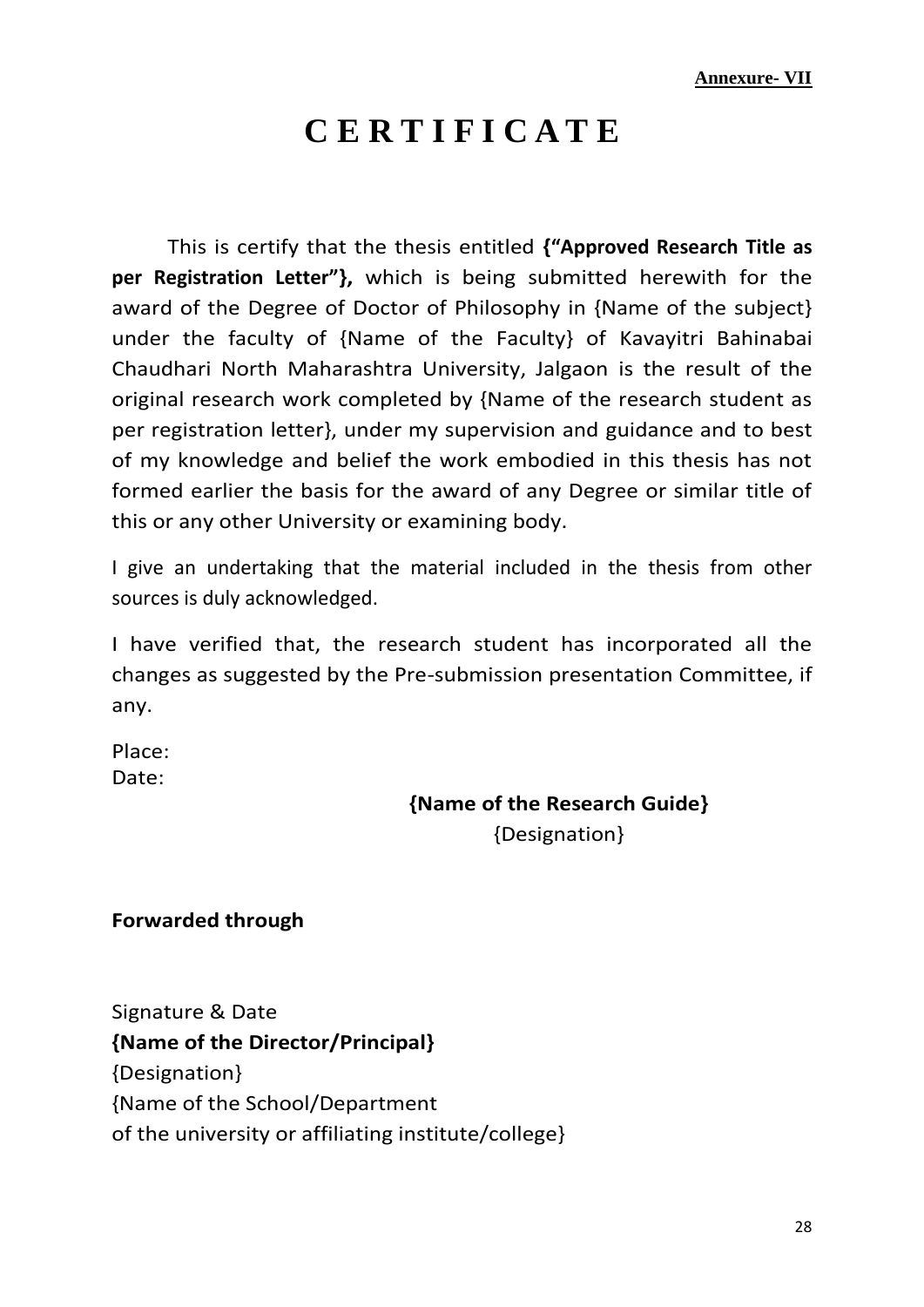# **C E R T I F I C A T E**

This is certify that the thesis entitled **{"Approved Research Title as per Registration Letter"},** which is being submitted herewith for the award of the Degree of Doctor of Philosophy in {Name of the subject} under the faculty of {Name of the Faculty} of Kavayitri Bahinabai Chaudhari North Maharashtra University, Jalgaon is the result of the original research work completed by {Name of the research student as per registration letter}, under my supervision and guidance and to best of my knowledge and belief the work embodied in this thesis has not formed earlier the basis for the award of any Degree or similar title of this or any other University or examining body.

I give an undertaking that the material included in the thesis from other sources is duly acknowledged.

I have verified that, the research student has incorporated all the changes as suggested by the Pre-submission presentation Committee, if any.

Place: Date:

### **{Name of the Research Guide}**

{Designation}

**Forwarded through**

Signature & Date **{Name of the Director/Principal}** {Designation} {Name of the School/Department of the university or affiliating institute/college}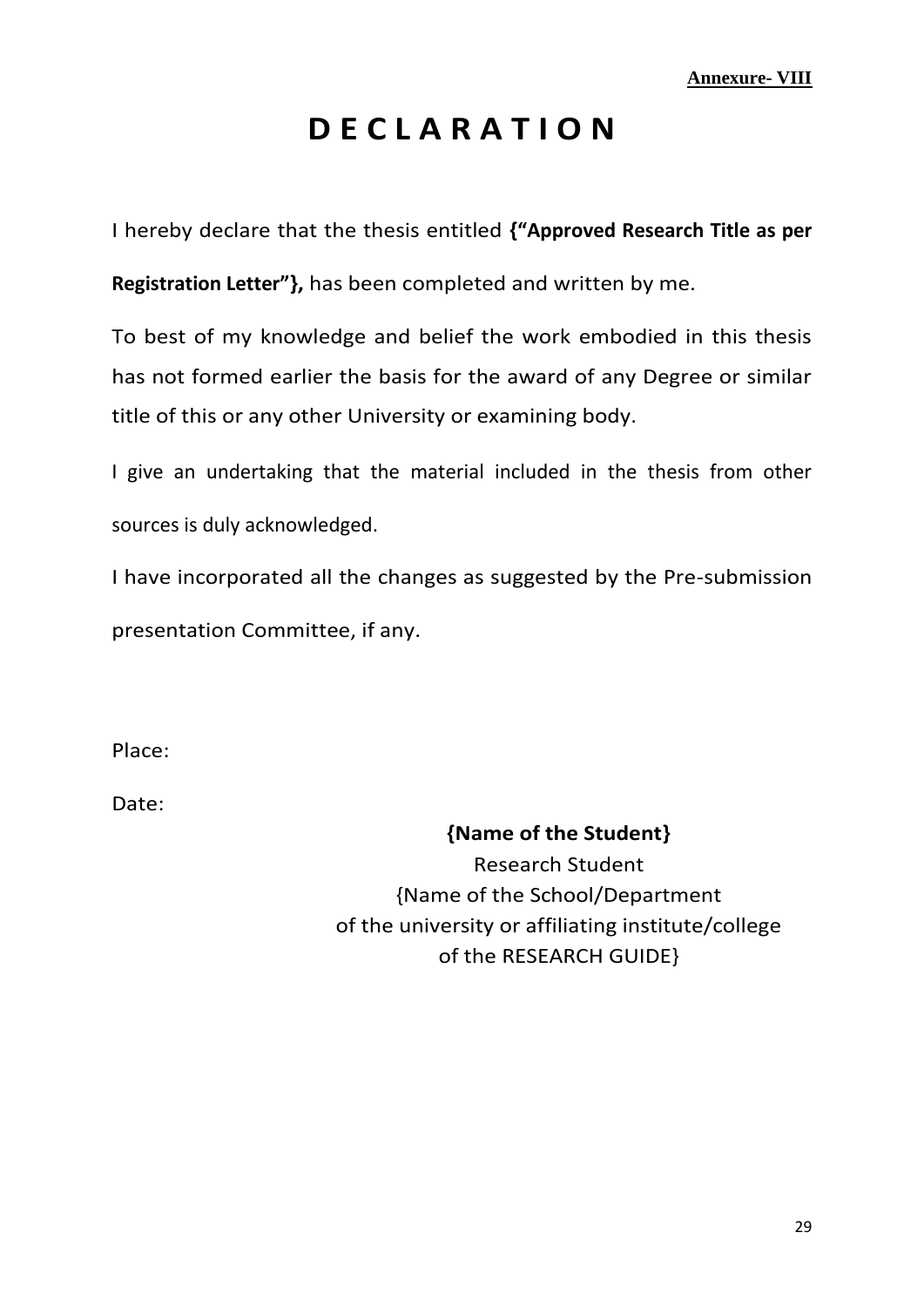# **D E C L A R A T I O N**

I hereby declare that the thesis entitled **{"Approved Research Title as per** 

**Registration Letter"},** has been completed and written by me.

To best of my knowledge and belief the work embodied in this thesis has not formed earlier the basis for the award of any Degree or similar title of this or any other University or examining body.

I give an undertaking that the material included in the thesis from other sources is duly acknowledged.

I have incorporated all the changes as suggested by the Pre-submission presentation Committee, if any.

Place:

Date:

### **{Name of the Student}**

Research Student {Name of the School/Department of the university or affiliating institute/college of the RESEARCH GUIDE}